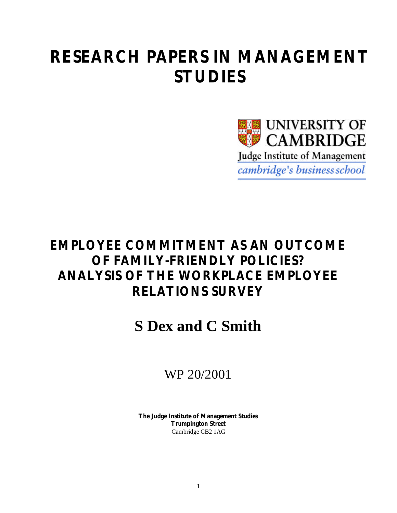# **RESEARCH PAPERS IN MANAGEMENT STUDIES**



# **EMPLOYEE COMMITMENT AS AN OUTCOME OF FAMILY-FRIENDLY POLICIES? ANALYSIS OF THE WORKPLACE EMPLOYEE RELATIONS SURVEY**

# **S Dex and C Smith**

## WP 20/2001

**The Judge Institute of Management Studies Trumpington Street** Cambridge CB2 1AG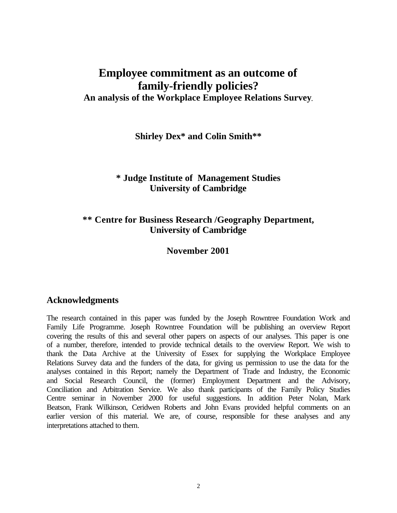## **Employee commitment as an outcome of family-friendly policies? An analysis of the Workplace Employee Relations Survey**.

**Shirley Dex\* and Colin Smith\*\***

## **\* Judge Institute of Management Studies University of Cambridge**

## **\*\* Centre for Business Research /Geography Department, University of Cambridge**

#### **November 2001**

#### **Acknowledgments**

The research contained in this paper was funded by the Joseph Rowntree Foundation Work and Family Life Programme. Joseph Rowntree Foundation will be publishing an overview Report covering the results of this and several other papers on aspects of our analyses. This paper is one of a number, therefore, intended to provide technical details to the overview Report. We wish to thank the Data Archive at the University of Essex for supplying the Workplace Employee Relations Survey data and the funders of the data, for giving us permission to use the data for the analyses contained in this Report; namely the Department of Trade and Industry, the Economic and Social Research Council, the (former) Employment Department and the Advisory, Conciliation and Arbitration Service. We also thank participants of the Family Policy Studies Centre seminar in November 2000 for useful suggestions. In addition Peter Nolan, Mark Beatson, Frank Wilkinson, Ceridwen Roberts and John Evans provided helpful comments on an earlier version of this material. We are, of course, responsible for these analyses and any interpretations attached to them.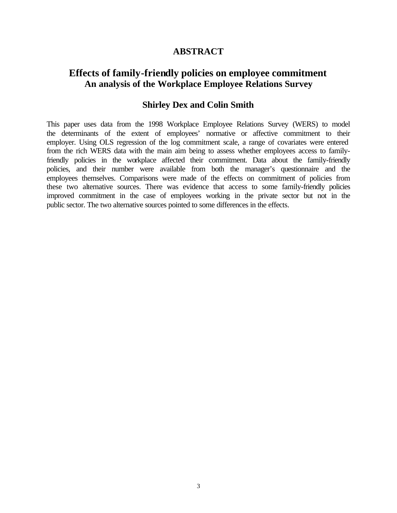### **ABSTRACT**

## **Effects of family-friendly policies on employee commitment An analysis of the Workplace Employee Relations Survey**

## **Shirley Dex and Colin Smith**

This paper uses data from the 1998 Workplace Employee Relations Survey (WERS) to model the determinants of the extent of employees' normative or affective commitment to their employer. Using OLS regression of the log commitment scale, a range of covariates were entered from the rich WERS data with the main aim being to assess whether employees access to familyfriendly policies in the workplace affected their commitment. Data about the family-friendly policies, and their number were available from both the manager's questionnaire and the employees themselves. Comparisons were made of the effects on commitment of policies from these two alternative sources. There was evidence that access to some family-friendly policies improved commitment in the case of employees working in the private sector but not in the public sector. The two alternative sources pointed to some differences in the effects.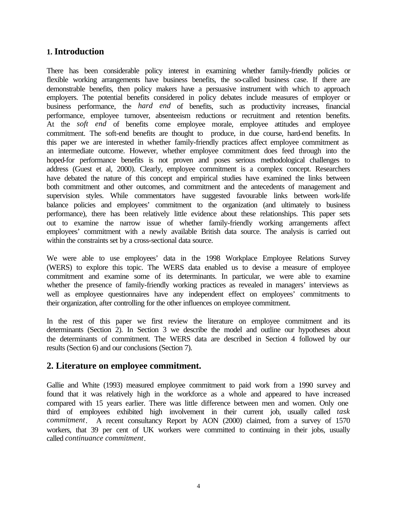## **1. Introduction**

There has been considerable policy interest in examining whether family-friendly policies or flexible working arrangements have business benefits, the so-called business case. If there are demonstrable benefits, then policy makers have a persuasive instrument with which to approach employers. The potential benefits considered in policy debates include measures of employer or business performance, the *hard end* of benefits, such as productivity increases, financial performance, employee turnover, absenteeism reductions or recruitment and retention benefits. At the *soft end* of benefits come employee morale, employee attitudes and employee commitment. The soft-end benefits are thought to produce, in due course, hard-end benefits. In this paper we are interested in whether family-friendly practices affect employee commitment as an intermediate outcome. However, whether employee commitment does feed through into the hoped-for performance benefits is not proven and poses serious methodological challenges to address (Guest et al, 2000). Clearly, employee commitment is a complex concept. Researchers have debated the nature of this concept and empirical studies have examined the links between both commitment and other outcomes, and commitment and the antecedents of management and supervision styles. While commentators have suggested favourable links between work-life balance policies and employees' commitment to the organization (and ultimately to business performance), there has been relatively little evidence about these relationships. This paper sets out to examine the narrow issue of whether family-friendly working arrangements affect employees' commitment with a newly available British data source. The analysis is carried out within the constraints set by a cross-sectional data source.

We were able to use employees' data in the 1998 Workplace Employee Relations Survey (WERS) to explore this topic. The WERS data enabled us to devise a measure of employee commitment and examine some of its determinants. In particular, we were able to examine whether the presence of family-friendly working practices as revealed in managers' interviews as well as employee questionnaires have any independent effect on employees' commitments to their organization, after controlling for the other influences on employee commitment.

In the rest of this paper we first review the literature on employee commitment and its determinants (Section 2). In Section 3 we describe the model and outline our hypotheses about the determinants of commitment. The WERS data are described in Section 4 followed by our results (Section 6) and our conclusions (Section 7).

#### **2. Literature on employee commitment.**

Gallie and White (1993) measured employee commitment to paid work from a 1990 survey and found that it was relatively high in the workforce as a whole and appeared to have increased compared with 15 years earlier. There was little difference between men and women. Only one third of employees exhibited high involvement in their current job, usually called *task commitment*. A recent consultancy Report by AON (2000) claimed, from a survey of 1570 workers, that 39 per cent of UK workers were committed to continuing in their jobs, usually called *continuance commitment*.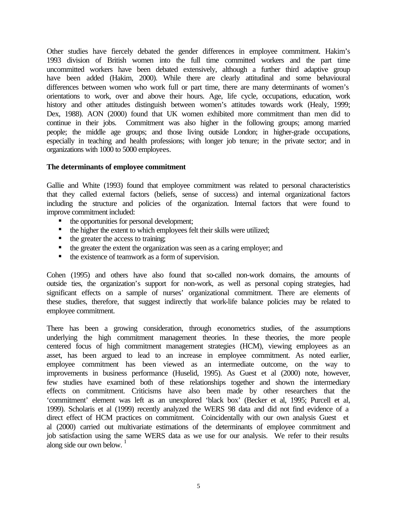Other studies have fiercely debated the gender differences in employee commitment. Hakim's 1993 division of British women into the full time committed workers and the part time uncommitted workers have been debated extensively, although a further third adaptive group have been added (Hakim, 2000). While there are clearly attitudinal and some behavioural differences between women who work full or part time, there are many determinants of women's orientations to work, over and above their hours. Age, life cycle, occupations, education, work history and other attitudes distinguish between women's attitudes towards work (Healy, 1999; Dex, 1988). AON (2000) found that UK women exhibited more commitment than men did to continue in their jobs. Commitment was also higher in the following groups; among married people; the middle age groups; and those living outside London; in higher-grade occupations, especially in teaching and health professions; with longer job tenure; in the private sector; and in organizations with 1000 to 5000 employees.

#### **The determinants of employee commitment**

Gallie and White (1993) found that employee commitment was related to personal characteristics that they called external factors (beliefs, sense of success) and internal organizational factors including the structure and policies of the organization. Internal factors that were found to improve commitment included:

- the opportunities for personal development;
- $\blacksquare$  the higher the extent to which employees felt their skills were utilized;
- $\blacksquare$  the greater the access to training;
- $\blacksquare$  the greater the extent the organization was seen as a caring employer; and
- $\blacksquare$  the existence of teamwork as a form of supervision.

Cohen (1995) and others have also found that so-called non-work domains, the amounts of outside ties, the organization's support for non-work, as well as personal coping strategies, had significant effects on a sample of nurses' organizational commitment. There are elements of these studies, therefore, that suggest indirectly that work-life balance policies may be related to employee commitment.

There has been a growing consideration, through econometrics studies, of the assumptions underlying the high commitment management theories. In these theories, the more people centered focus of high commitment management strategies (HCM), viewing employees as an asset, has been argued to lead to an increase in employee commitment. As noted earlier, employee commitment has been viewed as an intermediate outcome, on the way to improvements in business performance (Huselid, 1995). As Guest et al (2000) note, however, few studies have examined both of these relationships together and shown the intermediary effects on commitment. Criticisms have also been made by other researchers that the 'commitment' element was left as an unexplored 'black box' (Becker et al, 1995; Purcell et al, 1999). Scholaris et al (1999) recently analyzed the WERS 98 data and did not find evidence of a direct effect of HCM practices on commitment. Coincidentally with our own analysis Guest et al (2000) carried out multivariate estimations of the determinants of employee commitment and job satisfaction using the same WERS data as we use for our analysis. We refer to their results along side our own below. $1$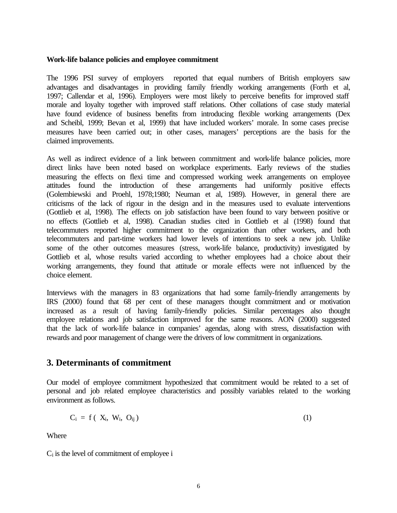#### **Work-life balance policies and employee commitment**

The 1996 PSI survey of employers reported that equal numbers of British employers saw advantages and disadvantages in providing family friendly working arrangements (Forth et al, 1997; Callendar et al, 1996). Employers were most likely to perceive benefits for improved staff morale and loyalty together with improved staff relations. Other collations of case study material have found evidence of business benefits from introducing flexible working arrangements (Dex and Scheibl, 1999; Bevan et al, 1999) that have included workers' morale. In some cases precise measures have been carried out; in other cases, managers' perceptions are the basis for the claimed improvements.

As well as indirect evidence of a link between commitment and work-life balance policies, more direct links have been noted based on workplace experiments. Early reviews of the studies measuring the effects on flexi time and compressed working week arrangements on employee attitudes found the introduction of these arrangements had uniformly positive effects (Golembiewski and Proehl, 1978;1980; Neuman et al, 1989). However, in general there are criticisms of the lack of rigour in the design and in the measures used to evaluate interventions (Gottlieb et al, 1998). The effects on job satisfaction have been found to vary between positive or no effects (Gottlieb et al, 1998). Canadian studies cited in Gottlieb et al (1998) found that telecommuters reported higher commitment to the organization than other workers, and both telecommuters and part-time workers had lower levels of intentions to seek a new job. Unlike some of the other outcomes measures (stress, work-life balance, productivity) investigated by Gottlieb et al, whose results varied according to whether employees had a choice about their working arrangements, they found that attitude or morale effects were not influenced by the choice element.

Interviews with the managers in 83 organizations that had some family-friendly arrangements by IRS (2000) found that 68 per cent of these managers thought commitment and or motivation increased as a result of having family-friendly policies. Similar percentages also thought employee relations and job satisfaction improved for the same reasons. AON (2000) suggested that the lack of work-life balance in companies' agendas, along with stress, dissatisfaction with rewards and poor management of change were the drivers of low commitment in organizations.

## **3. Determinants of commitment**

Our model of employee commitment hypothesized that commitment would be related to a set of personal and job related employee characteristics and possibly variables related to the working environment as follows.

$$
C_i = f(\ X_i, W_i, O_{ij}) \tag{1}
$$

Where

Ci is the level of commitment of employee i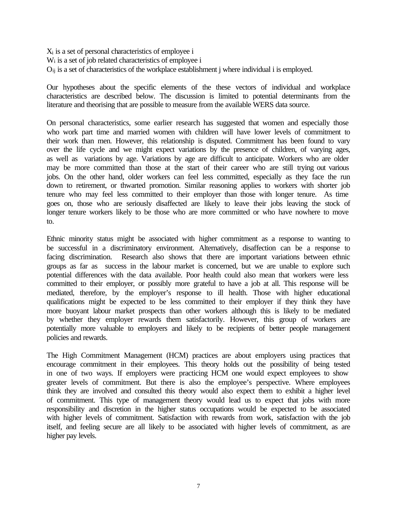Xi is a set of personal characteristics of employee i Wi is a set of job related characteristics of employee i Oij is a set of characteristics of the workplace establishment j where individual i is employed.

Our hypotheses about the specific elements of the these vectors of individual and workplace characteristics are described below. The discussion is limited to potential determinants from the literature and theorising that are possible to measure from the available WERS data source.

On personal characteristics, some earlier research has suggested that women and especially those who work part time and married women with children will have lower levels of commitment to their work than men. However, this relationship is disputed. Commitment has been found to vary over the life cycle and we might expect variations by the presence of children, of varying ages, as well as variations by age. Variations by age are difficult to anticipate. Workers who are older may be more committed than those at the start of their career who are still trying out various jobs. On the other hand, older workers can feel less committed, especially as they face the run down to retirement, or thwarted promotion. Similar reasoning applies to workers with shorter job tenure who may feel less committed to their employer than those with longer tenure. As time goes on, those who are seriously disaffected are likely to leave their jobs leaving the stock of longer tenure workers likely to be those who are more committed or who have nowhere to move to.

Ethnic minority status might be associated with higher commitment as a response to wanting to be successful in a discriminatory environment. Alternatively, disaffection can be a response to facing discrimination. Research also shows that there are important variations between ethnic groups as far as success in the labour market is concerned, but we are unable to explore such potential differences with the data available. Poor health could also mean that workers were less committed to their employer, or possibly more grateful to have a job at all. This response will be mediated, therefore, by the employer's response to ill health. Those with higher educational qualifications might be expected to be less committed to their employer if they think they have more buoyant labour market prospects than other workers although this is likely to be mediated by whether they employer rewards them satisfactorily. However, this group of workers are potentially more valuable to employers and likely to be recipients of better people management policies and rewards.

The High Commitment Management (HCM) practices are about employers using practices that encourage commitment in their employees. This theory holds out the possibility of being tested in one of two ways. If employers were practicing HCM one would expect employees to show greater levels of commitment. But there is also the employee's perspective. Where employees think they are involved and consulted this theory would also expect them to exhibit a higher level of commitment. This type of management theory would lead us to expect that jobs with more responsibility and discretion in the higher status occupations would be expected to be associated with higher levels of commitment. Satisfaction with rewards from work, satisfaction with the job itself, and feeling secure are all likely to be associated with higher levels of commitment, as are higher pay levels.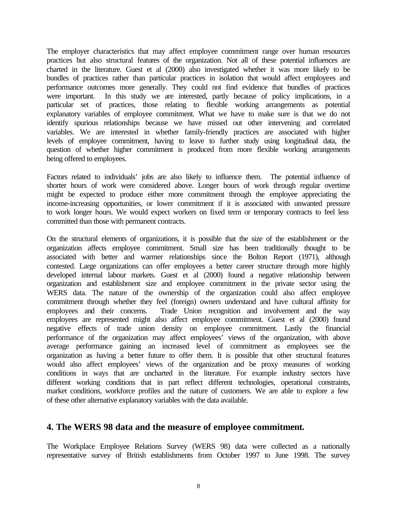The employer characteristics that may affect employee commitment range over human resources practices but also structural features of the organization. Not all of these potential influences are charted in the literature. Guest et al (2000) also investigated whether it was more likely to be bundles of practices rather than particular practices in isolation that would affect employees and performance outcomes more generally. They could not find evidence that bundles of practices were important. In this study we are interested, partly because of policy implications, in a particular set of practices, those relating to flexible working arrangements as potential explanatory variables of employee commitment. What we have to make sure is that we do not identify spurious relationships because we have missed out other intervening and correlated variables. We are interested in whether family-friendly practices are associated with higher levels of employee commitment, having to leave to further study using longitudinal data, the question of whether higher commitment is produced from more flexible working arrangements being offered to employees.

Factors related to individuals' jobs are also likely to influence them. The potential influence of shorter hours of work were considered above. Longer hours of work through regular overtime might be expected to produce either more commitment through the employee appreciating the income-increasing opportunities, or lower commitment if it is associated with unwanted pressure to work longer hours. We would expect workers on fixed term or temporary contracts to feel less committed than those with permanent contracts.

On the structural elements of organizations, it is possible that the size of the establishment or the organization affects employee commitment. Small size has been traditionally thought to be associated with better and warmer relationships since the Bolton Report (1971), although contested. Large organizations can offer employees a better career structure through more highly developed internal labour markets. Guest et al (2000) found a negative relationship between organization and establishment size and employee commitment in the private sector using the WERS data. The nature of the ownership of the organization could also affect employee commitment through whether they feel (foreign) owners understand and have cultural affinity for employees and their concerns. Trade Union recognition and involvement and the way employees are represented might also affect employee commitment. Guest et al (2000) found negative effects of trade union density on employee commitment. Lastly the financial performance of the organization may affect employees' views of the organization, with above average performance gaining an increased level of commitment as employees see the organization as having a better future to offer them. It is possible that other structural features would also affect employees' views of the organization and be proxy measures of working conditions in ways that are uncharted in the literature. For example industry sectors have different working conditions that in part reflect different technologies, operational constraints, market conditions, workforce profiles and the nature of customers. We are able to explore a few of these other alternative explanatory variables with the data available.

## **4. The WERS 98 data and the measure of employee commitment.**

The Workplace Employee Relations Survey (WERS 98) data were collected as a nationally representative survey of British establishments from October 1997 to June 1998. The survey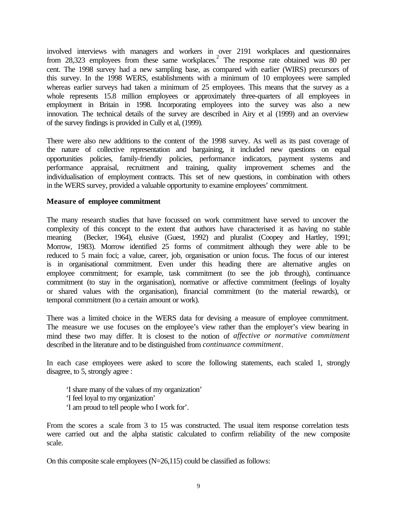involved interviews with managers and workers in over 2191 workplaces and questionnaires from 28,323 employees from these same workplaces.<sup>2</sup> The response rate obtained was 80 per cent. The 1998 survey had a new sampling base, as compared with earlier (WIRS) precursors of this survey. In the 1998 WERS, establishments with a minimum of 10 employees were sampled whereas earlier surveys had taken a minimum of 25 employees. This means that the survey as a whole represents 15.8 million employees or approximately three-quarters of all employees in employment in Britain in 1998. Incorporating employees into the survey was also a new innovation. The technical details of the survey are described in Airy et al (1999) and an overview of the survey findings is provided in Cully et al, (1999).

There were also new additions to the content of the 1998 survey. As well as its past coverage of the nature of collective representation and bargaining, it included new questions on equal opportunities policies, family-friendly policies, performance indicators, payment systems and performance appraisal, recruitment and training, quality improvement schemes and the individualisation of employment contracts. This set of new questions, in combination with others in the WERS survey, provided a valuable opportunity to examine employees' commitment.

#### **Measure of employee commitment**

The many research studies that have focussed on work commitment have served to uncover the complexity of this concept to the extent that authors have characterised it as having no stable meaning (Becker, 1964), elusive (Guest, 1992) and pluralist (Coopey and Hartley, 1991; Morrow, 1983). Morrow identified 25 forms of commitment although they were able to be reduced to 5 main foci; a value, career, job, organisation or union focus. The focus of our interest is in organisational commitment. Even under this heading there are alternative angles on employee commitment; for example, task commitment (to see the job through), continuance commitment (to stay in the organisation), normative or affective commitment (feelings of loyalty or shared values with the organisation), financial commitment (to the material rewards), or temporal commitment (to a certain amount or work).

There was a limited choice in the WERS data for devising a measure of employee commitment. The measure we use focuses on the employee's view rather than the employer's view bearing in mind these two may differ. It is closest to the notion of *affective or normative commitment* described in the literature and to be distinguished from *continuance commitment*.

In each case employees were asked to score the following statements, each scaled 1, strongly disagree, to 5, strongly agree :

'I share many of the values of my organization' 'I feel loyal to my organization' 'I am proud to tell people who I work for'.

From the scores a scale from 3 to 15 was constructed. The usual item response correlation tests were carried out and the alpha statistic calculated to confirm reliability of the new composite scale.

On this composite scale employees (N=26,115) could be classified as follows: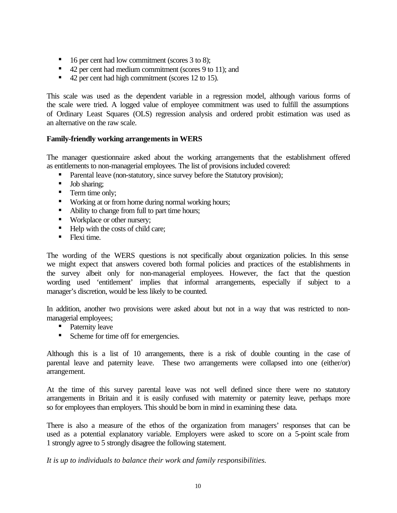- 16 per cent had low commitment (scores 3 to 8);
- 42 per cent had medium commitment (scores 9 to 11); and
- 42 per cent had high commitment (scores 12 to 15).

This scale was used as the dependent variable in a regression model, although various forms of the scale were tried. A logged value of employee commitment was used to fulfill the assumptions of Ordinary Least Squares (OLS) regression analysis and ordered probit estimation was used as an alternative on the raw scale.

#### **Family-friendly working arrangements in WERS**

The manager questionnaire asked about the working arrangements that the establishment offered as entitlements to non-managerial employees. The list of provisions included covered:

- Parental leave (non-statutory, since survey before the Statutory provision);
- **Job sharing;**
- Term time only;
- **Working at or from home during normal working hours;**
- Ability to change from full to part time hours;
- Workplace or other nursery;
- $\blacksquare$  Help with the costs of child care;
- $\blacksquare$  Flexi time.

The wording of the WERS questions is not specifically about organization policies. In this sense we might expect that answers covered both formal policies and practices of the establishments in the survey albeit only for non-managerial employees. However, the fact that the question wording used 'entitlement' implies that informal arrangements, especially if subject to a manager's discretion, would be less likely to be counted.

In addition, another two provisions were asked about but not in a way that was restricted to nonmanagerial employees;

- Paternity leave
- Scheme for time off for emergencies.

Although this is a list of 10 arrangements, there is a risk of double counting in the case of parental leave and paternity leave. These two arrangements were collapsed into one (either/or) arrangement.

At the time of this survey parental leave was not well defined since there were no statutory arrangements in Britain and it is easily confused with maternity or paternity leave, perhaps more so for employees than employers. This should be born in mind in examining these data.

There is also a measure of the ethos of the organization from managers' responses that can be used as a potential explanatory variable. Employers were asked to score on a 5-point scale from 1 strongly agree to 5 strongly disagree the following statement.

*It is up to individuals to balance their work and family responsibilities.*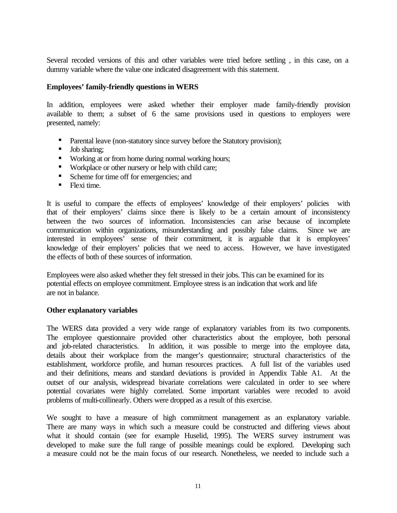Several recoded versions of this and other variables were tried before settling , in this case, on a dummy variable where the value one indicated disagreement with this statement.

#### **Employees' family-friendly questions in WERS**

In addition, employees were asked whether their employer made family-friendly provision available to them; a subset of 6 the same provisions used in questions to employers were presented, namely:

- Parental leave (non-statutory since survey before the Statutory provision);
- Job sharing;
- **Working at or from home during normal working hours;**
- **Workplace or other nursery or help with child care;**
- Scheme for time off for emergencies; and
- $\blacksquare$  Flexi time.

It is useful to compare the effects of employees' knowledge of their employers' policies with that of their employers' claims since there is likely to be a certain amount of inconsistency between the two sources of information. Inconsistencies can arise because of incomplete communication within organizations, misunderstanding and possibly false claims. Since we are interested in employees' sense of their commitment, it is arguable that it is employees' knowledge of their employers' policies that we need to access. However, we have investigated the effects of both of these sources of information.

Employees were also asked whether they felt stressed in their jobs. This can be examined for its potential effects on employee commitment. Employee stress is an indication that work and life are not in balance.

#### **Other explanatory variables**

The WERS data provided a very wide range of explanatory variables from its two components. The employee questionnaire provided other characteristics about the employee, both personal and job-related characteristics. In addition, it was possible to merge into the employee data, details about their workplace from the manger's questionnaire; structural characteristics of the establishment, workforce profile, and human resources practices. A full list of the variables used and their definitions, means and standard deviations is provided in Appendix Table A1. At the outset of our analysis, widespread bivariate correlations were calculated in order to see where potential covariates were highly correlated. Some important variables were recoded to avoid problems of multi-collinearly. Others were dropped as a result of this exercise.

We sought to have a measure of high commitment management as an explanatory variable. There are many ways in which such a measure could be constructed and differing views about what it should contain (see for example Huselid, 1995). The WERS survey instrument was developed to make sure the full range of possible meanings could be explored. Developing such a measure could not be the main focus of our research. Nonetheless, we needed to include such a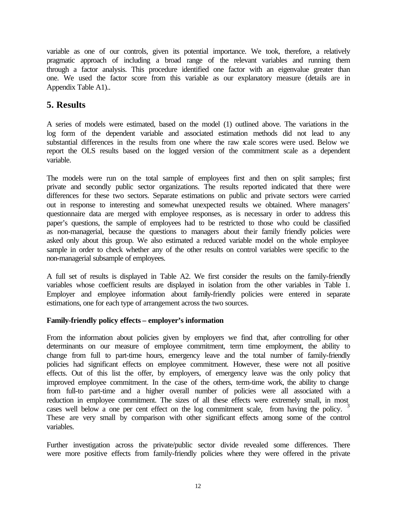variable as one of our controls, given its potential importance. We took, therefore, a relatively pragmatic approach of including a broad range of the relevant variables and running them through a factor analysis. This procedure identified one factor with an eigenvalue greater than one. We used the factor score from this variable as our explanatory measure (details are in Appendix Table A1)..

## **5. Results**

A series of models were estimated, based on the model (1) outlined above. The variations in the log form of the dependent variable and associated estimation methods did not lead to any substantial differences in the results from one where the raw scale scores were used. Below we report the OLS results based on the logged version of the commitment scale as a dependent variable.

The models were run on the total sample of employees first and then on split samples; first private and secondly public sector organizations. The results reported indicated that there were differences for these two sectors. Separate estimations on public and private sectors were carried out in response to interesting and somewhat unexpected results we obtained. Where managers' questionnaire data are merged with employee responses, as is necessary in order to address this paper's questions, the sample of employees had to be restricted to those who could be classified as non-managerial, because the questions to managers about their family friendly policies were asked only about this group. We also estimated a reduced variable model on the whole employee sample in order to check whether any of the other results on control variables were specific to the non-managerial subsample of employees.

A full set of results is displayed in Table A2. We first consider the results on the family-friendly variables whose coefficient results are displayed in isolation from the other variables in Table 1. Employer and employee information about family-friendly policies were entered in separate estimations, one for each type of arrangement across the two sources.

#### **Family-friendly policy effects – employer's information**

From the information about policies given by employers we find that, after controlling for other determinants on our measure of employee commitment, term time employment, the ability to change from full to part-time hours, emergency leave and the total number of family-friendly policies had significant effects on employee commitment. However, these were not all positive effects. Out of this list the offer, by employers, of emergency leave was the only policy that improved employee commitment. In the case of the others, term-time work, the ability to change from full-to part-time and a higher overall number of policies were all associated with a reduction in employee commitment. The sizes of all these effects were extremely small, in most cases well below a one per cent effect on the log commitment scale, from having the policy.<sup>3</sup> These are very small by comparison with other significant effects among some of the control variables.

Further investigation across the private/public sector divide revealed some differences. There were more positive effects from family-friendly policies where they were offered in the private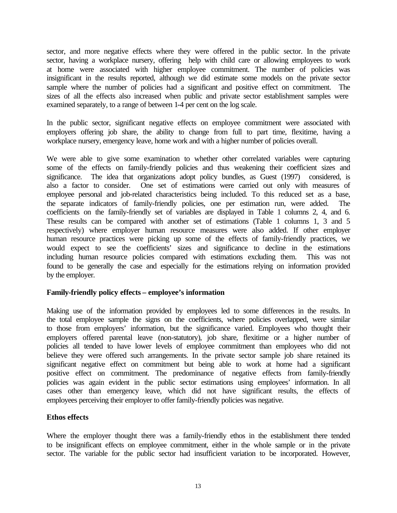sector, and more negative effects where they were offered in the public sector. In the private sector, having a workplace nursery, offering help with child care or allowing employees to work at home were associated with higher employee commitment. The number of policies was insignificant in the results reported, although we did estimate some models on the private sector sample where the number of policies had a significant and positive effect on commitment. The sizes of all the effects also increased when public and private sector establishment samples were examined separately, to a range of between 1-4 per cent on the log scale.

In the public sector, significant negative effects on employee commitment were associated with employers offering job share, the ability to change from full to part time, flexitime, having a workplace nursery, emergency leave, home work and with a higher number of policies overall.

We were able to give some examination to whether other correlated variables were capturing some of the effects on family-friendly policies and thus weakening their coefficient sizes and significance. The idea that organizations adopt policy bundles, as Guest (1997) considered, is also a factor to consider. One set of estimations were carried out only with measures of employee personal and job-related characteristics being included. To this reduced set as a base, the separate indicators of family-friendly policies, one per estimation run, were added. coefficients on the family-friendly set of variables are displayed in Table 1 columns 2, 4, and 6. These results can be compared with another set of estimations (Table 1 columns 1, 3 and 5 respectively) where employer human resource measures were also added. If other employer human resource practices were picking up some of the effects of family-friendly practices, we would expect to see the coefficients' sizes and significance to decline in the estimations including human resource policies compared with estimations excluding them. This was not found to be generally the case and especially for the estimations relying on information provided by the employer.

#### **Family-friendly policy effects – employee's information**

Making use of the information provided by employees led to some differences in the results. In the total employee sample the signs on the coefficients, where policies overlapped, were similar to those from employers' information, but the significance varied. Employees who thought their employers offered parental leave (non-statutory), job share, flexitime or a higher number of policies all tended to have lower levels of employee commitment than employees who did not believe they were offered such arrangements. In the private sector sample job share retained its significant negative effect on commitment but being able to work at home had a significant positive effect on commitment. The predominance of negative effects from family-friendly policies was again evident in the public sector estimations using employees' information. In all cases other than emergency leave, which did not have significant results, the effects of employees perceiving their employer to offer family-friendly policies was negative.

#### **Ethos effects**

Where the employer thought there was a family-friendly ethos in the establishment there tended to be insignificant effects on employee commitment, either in the whole sample or in the private sector. The variable for the public sector had insufficient variation to be incorporated. However,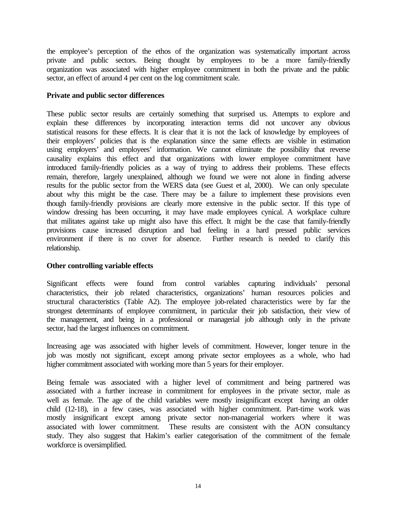the employee's perception of the ethos of the organization was systematically important across private and public sectors. Being thought by employees to be a more family-friendly organization was associated with higher employee commitment in both the private and the public sector, an effect of around 4 per cent on the log commitment scale.

#### **Private and public sector differences**

These public sector results are certainly something that surprised us. Attempts to explore and explain these differences by incorporating interaction terms did not uncover any obvious statistical reasons for these effects. It is clear that it is not the lack of knowledge by employees of their employers' policies that is the explanation since the same effects are visible in estimation using employers' and employees' information. We cannot eliminate the possibility that reverse causality explains this effect and that organizations with lower employee commitment have introduced family-friendly policies as a way of trying to address their problems. These effects remain, therefore, largely unexplained, although we found we were not alone in finding adverse results for the public sector from the WERS data (see Guest et al, 2000). We can only speculate about why this might be the case. There may be a failure to implement these provisions even though family-friendly provisions are clearly more extensive in the public sector. If this type of window dressing has been occurring, it may have made employees cynical. A workplace culture that militates against take up might also have this effect. It might be the case that family-friendly provisions cause increased disruption and bad feeling in a hard pressed public services environment if there is no cover for absence. Further research is needed to clarify this relationship.

#### **Other controlling variable effects**

Significant effects were found from control variables capturing individuals' personal characteristics, their job related characteristics, organizations' human resources policies and structural characteristics (Table A2). The employee job-related characteristics were by far the strongest determinants of employee commitment, in particular their job satisfaction, their view of the management, and being in a professional or managerial job although only in the private sector, had the largest influences on commitment.

Increasing age was associated with higher levels of commitment. However, longer tenure in the job was mostly not significant, except among private sector employees as a whole, who had higher commitment associated with working more than 5 years for their employer.

Being female was associated with a higher level of commitment and being partnered was associated with a further increase in commitment for employees in the private sector, male as well as female. The age of the child variables were mostly insignificant except having an older child (12-18), in a few cases, was associated with higher commitment. Part-time work was mostly insignificant except among private sector non-managerial workers where it was associated with lower commitment. These results are consistent with the AON consultancy study. They also suggest that Hakim's earlier categorisation of the commitment of the female workforce is oversimplified.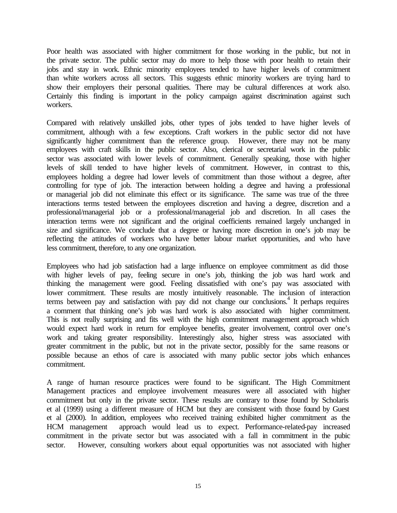Poor health was associated with higher commitment for those working in the public, but not in the private sector. The public sector may do more to help those with poor health to retain their jobs and stay in work. Ethnic minority employees tended to have higher levels of commitment than white workers across all sectors. This suggests ethnic minority workers are trying hard to show their employers their personal qualities. There may be cultural differences at work also. Certainly this finding is important in the policy campaign against discrimination against such workers.

Compared with relatively unskilled jobs, other types of jobs tended to have higher levels of commitment, although with a few exceptions. Craft workers in the public sector did not have significantly higher commitment than the reference group. However, there may not be many employees with craft skills in the public sector. Also, clerical or secretarial work in the public sector was associated with lower levels of commitment. Generally speaking, those with higher levels of skill tended to have higher levels of commitment. However, in contrast to this, employees holding a degree had lower levels of commitment than those without a degree, after controlling for type of job. The interaction between holding a degree and having a professional or managerial job did not eliminate this effect or its significance. The same was true of the three interactions terms tested between the employees discretion and having a degree, discretion and a professional/managerial job or a professional/managerial job and discretion. In all cases the interaction terms were not significant and the original coefficients remained largely unchanged in size and significance. We conclude that a degree or having more discretion in one's job may be reflecting the attitudes of workers who have better labour market opportunities, and who have less commitment, therefore, to any one organization.

Employees who had job satisfaction had a large influence on employee commitment as did those with higher levels of pay, feeling secure in one's job, thinking the job was hard work and thinking the management were good. Feeling dissatisfied with one's pay was associated with lower commitment. These results are mostly intuitively reasonable. The inclusion of interaction terms between pay and satisfaction with pay did not change our conclusions.<sup>4</sup> It perhaps requires a comment that thinking one's job was hard work is also associated with higher commitment. This is not really surprising and fits well with the high commitment management approach which would expect hard work in return for employee benefits, greater involvement, control over one's work and taking greater responsibility. Interestingly also, higher stress was associated with greater commitment in the public, but not in the private sector, possibly for the same reasons or possible because an ethos of care is associated with many public sector jobs which enhances commitment.

A range of human resource practices were found to be significant. The High Commitment Management practices and employee involvement measures were all associated with higher commitment but only in the private sector. These results are contrary to those found by Scholaris et al (1999) using a different measure of HCM but they are consistent with those found by Guest et al (2000). In addition, employees who received training exhibited higher commitment as the HCM management approach would lead us to expect. Performance-related-pay increased commitment in the private sector but was associated with a fall in commitment in the pubic sector. However, consulting workers about equal opportunities was not associated with higher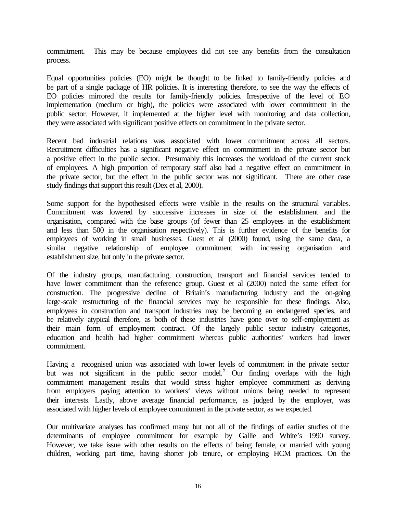commitment. This may be because employees did not see any benefits from the consultation process.

Equal opportunities policies (EO) might be thought to be linked to family-friendly policies and be part of a single package of HR policies. It is interesting therefore, to see the way the effects of EO policies mirrored the results for family-friendly policies. Irrespective of the level of EO implementation (medium or high), the policies were associated with lower commitment in the public sector. However, if implemented at the higher level with monitoring and data collection, they were associated with significant positive effects on commitment in the private sector.

Recent bad industrial relations was associated with lower commitment across all sectors. Recruitment difficulties has a significant negative effect on commitment in the private sector but a positive effect in the public sector. Presumably this increases the workload of the current stock of employees. A high proportion of temporary staff also had a negative effect on commitment in the private sector, but the effect in the public sector was not significant. There are other case study findings that support this result (Dex et al, 2000).

Some support for the hypothesised effects were visible in the results on the structural variables. Commitment was lowered by successive increases in size of the establishment and the organisation, compared with the base groups (of fewer than 25 employees in the establishment and less than 500 in the organisation respectively). This is further evidence of the benefits for employees of working in small businesses. Guest et al (2000) found, using the same data, a similar negative relationship of employee commitment with increasing organisation and establishment size, but only in the private sector.

Of the industry groups, manufacturing, construction, transport and financial services tended to have lower commitment than the reference group. Guest et al (2000) noted the same effect for construction. The progressive decline of Britain's manufacturing industry and the on-going large-scale restructuring of the financial services may be responsible for these findings. Also, employees in construction and transport industries may be becoming an endangered species, and be relatively atypical therefore, as both of these industries have gone over to self-employment as their main form of employment contract. Of the largely public sector industry categories, education and health had higher commitment whereas public authorities' workers had lower commitment.

Having a recognised union was associated with lower levels of commitment in the private sector but was not significant in the public sector model.<sup>5</sup> Our finding overlaps with the high commitment management results that would stress higher employee commitment as deriving from employers paying attention to workers' views without unions being needed to represent their interests. Lastly, above average financial performance, as judged by the employer, was associated with higher levels of employee commitment in the private sector, as we expected.

Our multivariate analyses has confirmed many but not all of the findings of earlier studies of the determinants of employee commitment for example by Gallie and White's 1990 survey. However, we take issue with other results on the effects of being female, or married with young children, working part time, having shorter job tenure, or employing HCM practices. On the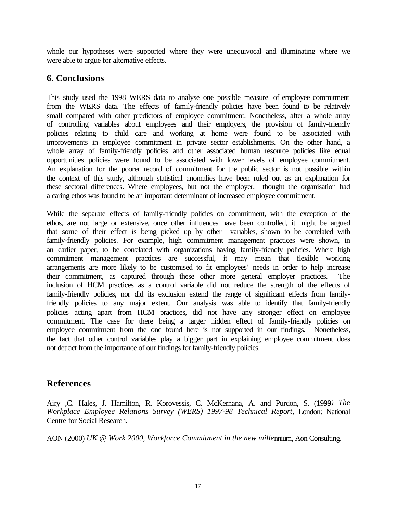whole our hypotheses were supported where they were unequivocal and illuminating where we were able to argue for alternative effects.

#### **6. Conclusions**

This study used the 1998 WERS data to analyse one possible measure of employee commitment from the WERS data. The effects of family-friendly policies have been found to be relatively small compared with other predictors of employee commitment. Nonetheless, after a whole array of controlling variables about employees and their employers, the provision of family-friendly policies relating to child care and working at home were found to be associated with improvements in employee commitment in private sector establishments. On the other hand, a whole array of family-friendly policies and other associated human resource policies like equal opportunities policies were found to be associated with lower levels of employee commitment. An explanation for the poorer record of commitment for the public sector is not possible within the context of this study, although statistical anomalies have been ruled out as an explanation for these sectoral differences. Where employees, but not the employer, thought the organisation had a caring ethos was found to be an important determinant of increased employee commitment.

While the separate effects of family-friendly policies on commitment, with the exception of the ethos, are not large or extensive, once other influences have been controlled, it might be argued that some of their effect is being picked up by other variables, shown to be correlated with family-friendly policies. For example, high commitment management practices were shown, in an earlier paper, to be correlated with organizations having family-friendly policies. Where high commitment management practices are successful, it may mean that flexible working arrangements are more likely to be customised to fit employees' needs in order to help increase their commitment, as captured through these other more general employer practices. The inclusion of HCM practices as a control variable did not reduce the strength of the effects of family-friendly policies, nor did its exclusion extend the range of significant effects from familyfriendly policies to any major extent. Our analysis was able to identify that family-friendly policies acting apart from HCM practices, did not have any stronger effect on employee commitment. The case for there being a larger hidden effect of family-friendly policies on employee commitment from the one found here is not supported in our findings. Nonetheless, the fact that other control variables play a bigger part in explaining employee commitment does not detract from the importance of our findings for family-friendly policies.

## **References**

Airy ,C. Hales, J. Hamilton, R. Korovessis, C. McKernana, A. and Purdon, S. (1999*) The Workplace Employee Relations Survey (WERS) 1997-98 Technical Report*, London: National Centre for Social Research.

AON (2000) *UK @ Work 2000, Workforce Commitment in the new mille*nnium, Aon Consulting.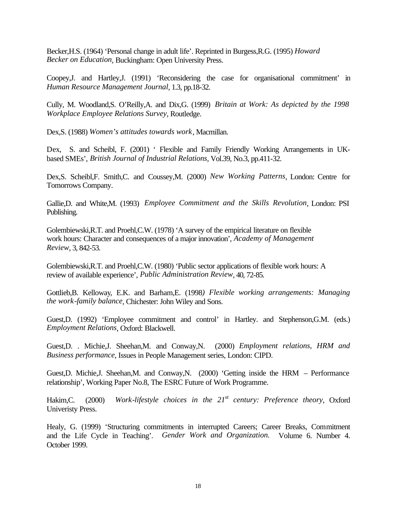Becker,H.S. (1964) 'Personal change in adult life'. Reprinted in Burgess,R.G. (1995) *Howard Becker on Education*, Buckingham: Open University Press.

Coopey,J. and Hartley,J. (1991) 'Reconsidering the case for organisational commitment' in *Human Resource Management Journal*, 1.3, pp.18-32.

Cully, M. Woodland,S. O'Reilly,A. and Dix,G. (1999) *Britain at Work: As depicted by the 1998 Workplace Employee Relations Survey*, Routledge.

Dex,S. (1988) *Women's attitudes towards work*, Macmillan.

Dex, S. and Scheibl, F. (2001) ' Flexible and Family Friendly Working Arrangements in UKbased SMEs', *British Journal of Industrial Relations*, Vol.39, No.3, pp.411-32.

Dex,S. Scheibl,F. Smith,C. and Coussey,M. (2000) *New Working Patterns*, London: Centre for Tomorrows Company.

Gallie,D. and White,M. (1993) *Employee Commitment and the Skills Revolution*, London: PSI Publishing.

Golembiewski,R.T. and Proehl,C.W. (1978) 'A survey of the empirical literature on flexible work hours: Character and consequences of a major innovation', *Academy of Management Review*, 3, 842-53.

Golembiewski,R.T. and Proehl,C.W. (1980) 'Public sector applications of flexible work hours: A review of available experience', *Public Administration Review*, 40, 72-85.

Gottlieb,B. Kelloway, E.K. and Barham,E. (1998*) Flexible working arrangements: Managing the work-family balance*, Chichester: John Wiley and Sons.

Guest,D. (1992) 'Employee commitment and control' in Hartley. and Stephenson,G.M. (eds.) *Employment Relations*, Oxford: Blackwell.

Guest,D. . Michie,J. Sheehan,M. and Conway,N. (2000) *Employment relations, HRM and Business performance*, Issues in People Management series, London: CIPD.

Guest,D. Michie,J. Sheehan,M. and Conway,N. (2000) 'Getting inside the HRM – Performance relationship', Working Paper No.8, The ESRC Future of Work Programme.

Hakim,C. (2000) *Work-lifestyle choices in the 21st century: Preference theory*, Oxford Univeristy Press.

Healy, G. (1999) 'Structuring commitments in interrupted Careers; Career Breaks, Commitment and the Life Cycle in Teaching'. *Gender Work and Organization.* Volume 6. Number 4. October 1999.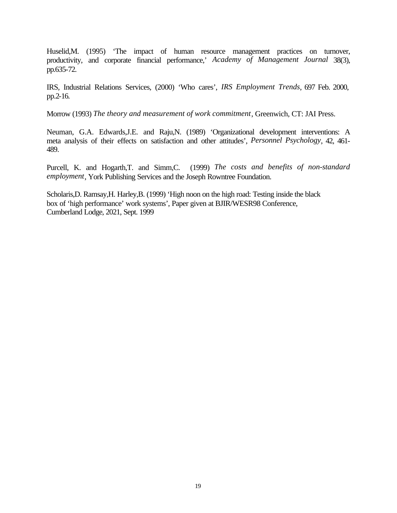Huselid,M. (1995) 'The impact of human resource management practices on turnover, productivity, and corporate financial performance,' *Academy of Management Journal* 38(3), pp.635-72.

IRS, Industrial Relations Services, (2000) 'Who cares', *IRS Employment Trends*, 697 Feb. 2000, pp.2-16.

Morrow (1993) *The theory and measurement of work commitment*, Greenwich, CT: JAI Press.

Neuman, G.A. Edwards,J.E. and Raju,N. (1989) 'Organizational development interventions: A meta analysis of their effects on satisfaction and other attitudes', *Personnel Psychology*, 42, 461- 489.

Purcell, K. and Hogarth,T. and Simm,C. (1999) *The costs and benefits of non-standard employment*, York Publishing Services and the Joseph Rowntree Foundation.

Scholaris,D. Ramsay,H. Harley,B. (1999) 'High noon on the high road: Testing inside the black box of 'high performance' work systems', Paper given at BJIR/WESR98 Conference, Cumberland Lodge, 2021, Sept. 1999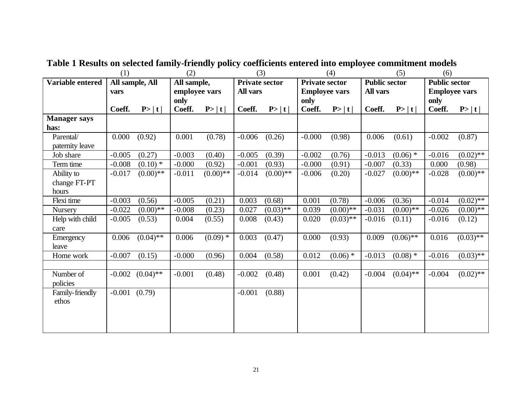|                     | (1)               |                 | (2)           |             | (3)                   |             | (4)                   |             | (5)                  |             | (6)                  |             |
|---------------------|-------------------|-----------------|---------------|-------------|-----------------------|-------------|-----------------------|-------------|----------------------|-------------|----------------------|-------------|
| Variable entered    |                   | All sample, All | All sample,   |             | <b>Private sector</b> |             | <b>Private sector</b> |             | <b>Public sector</b> |             | <b>Public sector</b> |             |
|                     | vars              |                 | employee vars |             | <b>All vars</b>       |             | <b>Employee vars</b>  |             | All vars             |             | <b>Employee vars</b> |             |
|                     |                   |                 | only          |             |                       |             | only                  |             |                      |             | only                 |             |
|                     | Coeff.            | P> t            | Coeff.        | P> t        | Coeff.                | P> t        | Coeff.                | P> t        | Coeff.               | P> t        | Coeff.               | P> t        |
| <b>Manager says</b> |                   |                 |               |             |                       |             |                       |             |                      |             |                      |             |
| has:                |                   |                 |               |             |                       |             |                       |             |                      |             |                      |             |
| Parental/           | 0.000             | (0.92)          | 0.001         | (0.78)      | $-0.006$              | (0.26)      | $-0.000$              | (0.98)      | 0.006                | (0.61)      | $-0.002$             | (0.87)      |
| paternity leave     |                   |                 |               |             |                       |             |                       |             |                      |             |                      |             |
| Job share           | $-0.005$          | (0.27)          | $-0.003$      | (0.40)      | $-0.005$              | (0.39)      | $-0.002$              | (0.76)      | $-0.013$             | $(0.06)$ *  | $-0.016$             | $(0.02)$ ** |
| Term time           | $-0.008$          | $(0.10)$ *      | $-0.000$      | (0.92)      | $-0.001$              | (0.93)      | $-0.000$              | (0.91)      | $-0.007$             | (0.33)      | 0.000                | (0.98)      |
| Ability to          | $-0.017$          | $(0.00)$ **     | $-0.011$      | $(0.00)$ ** | $-0.014$              | $(0.00)$ ** | $-0.006$              | (0.20)      | $-0.027$             | $(0.00)$ ** | $-0.028$             | $(0.00)$ ** |
| change FT-PT        |                   |                 |               |             |                       |             |                       |             |                      |             |                      |             |
| hours               |                   |                 |               |             |                       |             |                       |             |                      |             |                      |             |
| Flexi time          | $-0.003$          | (0.56)          | $-0.005$      | (0.21)      | 0.003                 | (0.68)      | 0.001                 | (0.78)      | $-0.006$             | (0.36)      | $-0.014$             | $(0.02)$ ** |
| <b>Nursery</b>      | $-0.022$          | $(0.00)$ **     | $-0.008$      | (0.23)      | 0.027                 | $(0.03)$ ** | 0.039                 | $(0.00)$ ** | $-0.031$             | $(0.00)**$  | $-0.026$             | $(0.00)$ ** |
| Help with child     | $-0.005$          | (0.53)          | 0.004         | (0.55)      | 0.008                 | (0.43)      | 0.020                 | $(0.03)$ ** | $-0.016$             | (0.11)      | $-0.016$             | (0.12)      |
| care                |                   |                 |               |             |                       |             |                       |             |                      |             |                      |             |
| Emergency           | 0.006             | $(0.04)$ **     | 0.006         | $(0.09)$ *  | 0.003                 | (0.47)      | 0.000                 | (0.93)      | 0.009                | $(0.06)$ ** | 0.016                | $(0.03)$ ** |
| leave               |                   |                 |               |             |                       |             |                       |             |                      |             |                      |             |
| Home work           | $-0.007$          | (0.15)          | $-0.000$      | (0.96)      | 0.004                 | (0.58)      | 0.012                 | $(0.06)$ *  | $-0.013$             | $(0.08)$ *  | $-0.016$             | $(0.03)$ ** |
|                     |                   |                 |               |             |                       |             |                       |             |                      |             |                      |             |
| Number of           | $-0.002$          | $(0.04)$ **     | $-0.001$      | (0.48)      | $-0.002$              | (0.48)      | 0.001                 | (0.42)      | $-0.004$             | $(0.04)$ ** | $-0.004$             | $(0.02)$ ** |
| policies            |                   |                 |               |             |                       |             |                       |             |                      |             |                      |             |
| Family-friendly     | $-0.001$ $(0.79)$ |                 |               |             | $-0.001$              | (0.88)      |                       |             |                      |             |                      |             |
| ethos               |                   |                 |               |             |                       |             |                       |             |                      |             |                      |             |
|                     |                   |                 |               |             |                       |             |                       |             |                      |             |                      |             |
|                     |                   |                 |               |             |                       |             |                       |             |                      |             |                      |             |
|                     |                   |                 |               |             |                       |             |                       |             |                      |             |                      |             |

**Table 1 Results on selected family-friendly policy coefficients entered into employee commitment models**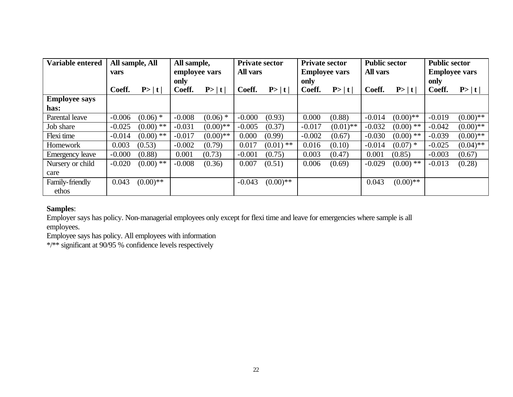| Variable entered       | All sample, All |             | All sample,   |             | <b>Private sector</b> |             | <b>Private sector</b> |             | <b>Public sector</b> |             | <b>Public sector</b> |             |
|------------------------|-----------------|-------------|---------------|-------------|-----------------------|-------------|-----------------------|-------------|----------------------|-------------|----------------------|-------------|
|                        | vars            |             | employee vars |             | <b>All vars</b>       |             | <b>Employee vars</b>  |             | <b>All vars</b>      |             | <b>Employee vars</b> |             |
|                        |                 |             | only          |             |                       |             | only                  |             |                      |             | only                 |             |
|                        | Coeff.          | P> t        | Coeff.        | P> t        | Coeff.                | P> t        | Coeff.                | P> t        | Coeff.               | P> t        | Coeff.               | P> t        |
| <b>Employee says</b>   |                 |             |               |             |                       |             |                       |             |                      |             |                      |             |
| has:                   |                 |             |               |             |                       |             |                       |             |                      |             |                      |             |
| Parental leave         | $-0.006$        | $(0.06)$ *  | $-0.008$      | $(0.06)$ *  | $-0.000$              | (0.93)      | 0.000                 | (0.88)      | $-0.014$             | $(0.00)**$  | $-0.019$             | $(0.00)$ ** |
| Job share              | $-0.025$        | $(0.00)$ ** | $-0.031$      | $(0.00)$ ** | $-0.005$              | (0.37)      | $-0.017$              | $(0.01)$ ** | $-0.032$             | $(0.00)$ ** | $-0.042$             | $(0.00)$ ** |
| Flexi time             | $-0.014$        | $(0.00)$ ** | $-0.017$      | $(0.00)$ ** | 0.000                 | (0.99)      | $-0.002$              | (0.67)      | $-0.030$             | $(0.00)$ ** | $-0.039$             | $(0.00)$ ** |
| Homework               | 0.003           | (0.53)      | $-0.002$      | (0.79)      | 0.017                 | $(0.01)$ ** | 0.016                 | (0.10)      | $-0.014$             | $(0.07)$ *  | $-0.025$             | $(0.04)$ ** |
| <b>Emergency leave</b> | $-0.000$        | (0.88)      | 0.001         | (0.73)      | $-0.001$              | (0.75)      | 0.003                 | (0.47)      | 0.001                | (0.85)      | $-0.003$             | (0.67)      |
| Nursery or child       | $-0.020$        | $(0.00)$ ** | $-0.008$      | (0.36)      | 0.007                 | (0.51)      | 0.006                 | (0.69)      | $-0.029$             | $(0.00)$ ** | $-0.013$             | (0.28)      |
| care                   |                 |             |               |             |                       |             |                       |             |                      |             |                      |             |
| Family-friendly        | 0.043           | $(0.00)$ ** |               |             | $-0.043$              | $(0.00)$ ** |                       |             | 0.043                | $(0.00)$ ** |                      |             |
| ethos                  |                 |             |               |             |                       |             |                       |             |                      |             |                      |             |

## **Samples**:

Employer says has policy. Non-managerial employees only except for flexi time and leave for emergencies where sample is all employees.

Employee says has policy. All employees with information

\*/\*\* significant at 90/95 % confidence levels respectively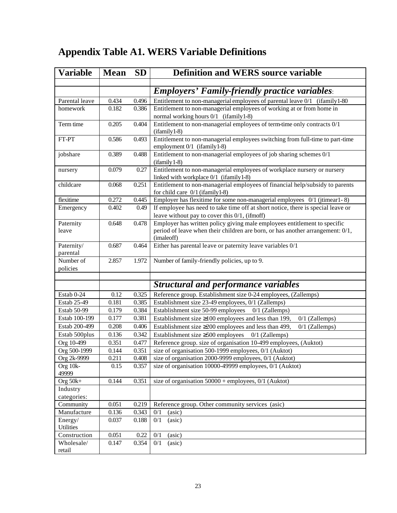# **Appendix Table A1. WERS Variable Definitions**

| <b>Variable</b>        | <b>Mean</b> | <b>SD</b> | <b>Definition and WERS source variable</b>                                                                                           |
|------------------------|-------------|-----------|--------------------------------------------------------------------------------------------------------------------------------------|
|                        |             |           |                                                                                                                                      |
|                        |             |           | <b>Employers' Family-friendly practice variables:</b>                                                                                |
| Parental leave         | 0.434       | 0.496     | Entitlement to non-managerial employees of parental leave 0/1 (ifamily 1-80)                                                         |
| homework               | 0.182       | 0.386     | Entitlement to non-managerial employees of working at or from home in                                                                |
|                        |             |           | normal working hours 0/1 (ifamily 1-8)                                                                                               |
| Term time              | 0.205       | 0.404     | Entitlement to non-managerial employees of term-time only contracts 0/1<br>$(ifamily1-8)$                                            |
| FT-PT                  | 0.586       | 0.493     | Entitlement to non-managerial employees switching from full-time to part-time<br>employment 0/1 (ifamily 1-8)                        |
| jobshare               | 0.389       | 0.488     | Entitlement to non-managerial employees of job sharing schemes 0/1<br>$(ifamily 1-8)$                                                |
| nursery                | 0.079       | 0.27      | Entitlement to non-managerial employees of workplace nursery or nursery                                                              |
| childcare              | 0.068       | 0.251     | linked with workplace 0/1 (ifamily1-8)<br>Entitlement to non-managerial employees of financial help/subsidy to parents               |
|                        |             |           | for child care $0/1$ (ifamily 1-8)                                                                                                   |
| flexitime              | 0.272       | 0.445     | Employer has flexitime for some non-managerial employees 0/1 (jtimear1-8)                                                            |
| Emergency              | 0.402       | 0.49      | If employee has need to take time off at short notice, there is special leave or<br>leave without pay to cover this $0/1$ , (ifmoff) |
| Paternity              | 0.648       | 0.478     | Employer has written policy giving male employees entitlement to specific                                                            |
| leave                  |             |           | period of leave when their children are born, or has another arrangement: 0/1,<br>(imaleoff)                                         |
| Paternity/<br>parental | 0.687       | 0.464     | Either has parental leave or paternity leave variables 0/1                                                                           |
| Number of              | 2.857       | 1.972     | Number of family-friendly policies, up to 9.                                                                                         |
| policies               |             |           |                                                                                                                                      |
|                        |             |           |                                                                                                                                      |
|                        |             |           | <b>Structural and performance variables</b>                                                                                          |
| Estab 0-24             | 0.12        | 0.325     | Reference group. Establishment size 0-24 employees, (Zallemps)                                                                       |
| Estab 25-49            | 0.181       | 0.385     | Establishment size 23-49 employees, 0/1 (Zallemps)                                                                                   |
| Estab 50-99            | 0.179       | 0.384     | Establishment size 50-99 employees<br>$0/1$ (Zallemps)                                                                               |
| Estab 100-199          | 0.177       | 0.381     | Establishment size $\geq 100$ employees and less than 199,<br>$0/1$ (Zallemps)                                                       |
| Estab 200-499          | 0.208       | 0.406     | Establishment size $\geq$ 200 employees and less than 499,<br>$0/1$ (Zallemps)                                                       |
| Estab 500plus          | 0.136       | 0.342     | Establishment size $\geq 500$ employees 0/1 (Zallemps)                                                                               |
| Org 10-499             | 0.351       | 0.477     | Reference group. size of organisation 10-499 employees, (Auktot)                                                                     |
| Org 500-1999           | 0.144       | 0.351     | size of organisation 500-1999 employees, 0/1 (Auktot)                                                                                |
| Org 2k-9999            | 0.211       | 0.408     | size of organisation 2000-9999 employees, 0/1 (Auktot)                                                                               |
| Org 10k-<br>49999      | 0.15        | 0.357     | size of organisation 10000-49999 employees, 0/1 (Auktot)                                                                             |
| Org $50k+$             | 0.144       | 0.351     | size of organisation $50000 +$ employees, 0/1 (Auktot)                                                                               |
| Industry               |             |           |                                                                                                                                      |
| categories:            |             |           |                                                                                                                                      |
| Community              | 0.051       | 0.219     | Reference group. Other community services (asic)                                                                                     |
| Manufacture            | 0.136       | 0.343     | (asic)<br>0/1                                                                                                                        |
| Energy/<br>Utilities   | 0.037       | 0.188     | 0/1<br>(a <sub>sic</sub> )                                                                                                           |
| Construction           | 0.051       | 0.22      | 0/1<br>(asic)                                                                                                                        |
| Wholesale/<br>retail   | 0.147       | 0.354     | 0/1<br>(a <sub>sic</sub> )                                                                                                           |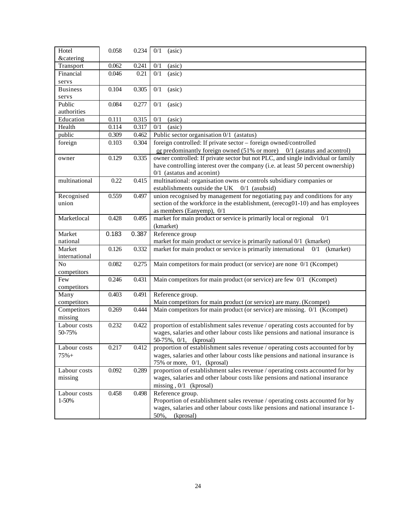| Hotel                  | 0.058 | 0.234 | (asic)<br>0/1                                                                                                                                   |
|------------------------|-------|-------|-------------------------------------------------------------------------------------------------------------------------------------------------|
| <b>&amp;catering</b>   |       |       |                                                                                                                                                 |
| Transport<br>Financial | 0.062 | 0.241 | 0/1<br>(asic)                                                                                                                                   |
|                        | 0.046 | 0.21  | 0/1<br>(a <sub>sic</sub> )                                                                                                                      |
| servs                  |       |       |                                                                                                                                                 |
| <b>Business</b>        | 0.104 | 0.305 | 0/1<br>(asic)                                                                                                                                   |
| servs<br>Public        | 0.084 | 0.277 |                                                                                                                                                 |
| authorities            |       |       | 0/1<br>(asic)                                                                                                                                   |
| Education              | 0.111 | 0.315 | 0/1<br>(asic)                                                                                                                                   |
| Health                 | 0.114 | 0.317 | 0/1<br>(a <sub>sic</sub> )                                                                                                                      |
| public                 | 0.309 | 0.462 | Public sector organisation 0/1 (astatus)                                                                                                        |
| foreign                | 0.103 | 0.304 | foreign controlled: If private sector - foreign owned/controlled                                                                                |
|                        |       |       | or predominantly foreign owned $(51\% \text{ or more})$ 0/1 (astatus and acontrol)                                                              |
|                        | 0.129 | 0.335 | owner controlled: If private sector but not PLC, and single individual or family                                                                |
| owner                  |       |       | have controlling interest over the company (i.e. at least 50 percent ownership)                                                                 |
|                        |       |       | $0/1$ (astatus and aconint)                                                                                                                     |
| multinational          | 0.22  | 0.415 | multinational: organisation owns or controls subsidiary companies or                                                                            |
|                        |       |       | establishments outside the UK 0/1 (asubsid)                                                                                                     |
| Recognised             | 0.559 | 0.497 | union recognised by management for negotiating pay and conditions for any                                                                       |
| union                  |       |       | section of the workforce in the establishment, (erecog01-10) and has employees                                                                  |
|                        |       |       | as members (Eanyemp), $0/1$                                                                                                                     |
| Marketlocal            | 0.428 | 0.495 | market for main product or service is primarily local or regional<br>0/1                                                                        |
|                        |       |       | (kmarket)                                                                                                                                       |
| Market                 | 0.183 | 0.387 | Reference group                                                                                                                                 |
| national               |       |       | market for main product or service is primarily national 0/1 (kmarket)                                                                          |
| Market                 | 0.126 | 0.332 | market for main product or service is primarily international<br>$0/1$ (kmarket)                                                                |
| international          |       |       |                                                                                                                                                 |
| N <sub>o</sub>         | 0.082 | 0.275 | Main competitors for main product (or service) are none 0/1 (Kcompet)                                                                           |
| competitors            |       |       |                                                                                                                                                 |
|                        |       |       |                                                                                                                                                 |
| Few                    |       |       |                                                                                                                                                 |
|                        | 0.246 | 0.431 | Main competitors for main product (or service) are few 0/1 (Kcompet)                                                                            |
| competitors<br>Many    | 0.403 | 0.491 |                                                                                                                                                 |
| competitors            |       |       | Reference group.                                                                                                                                |
| Competitors            | 0.269 | 0.444 | Main competitors for main product (or service) are many. (Kcompet)<br>Main competitors for main product (or service) are missing. 0/1 (Kcompet) |
| missing                |       |       |                                                                                                                                                 |
| Labour costs           | 0.232 | 0.422 | proportion of establishment sales revenue / operating costs accounted for by                                                                    |
| 50-75%                 |       |       | wages, salaries and other labour costs like pensions and national insurance is                                                                  |
|                        |       |       | 50-75%, 0/1, (kprosal)                                                                                                                          |
| Labour costs           | 0.217 | 0.412 | proportion of establishment sales revenue / operating costs accounted for by                                                                    |
| $75% +$                |       |       | wages, salaries and other labour costs like pensions and national insurance is                                                                  |
|                        |       |       | 75% or more, 0/1, (kprosal)                                                                                                                     |
| Labour costs           | 0.092 | 0.289 | proportion of establishment sales revenue / operating costs accounted for by                                                                    |
| missing                |       |       | wages, salaries and other labour costs like pensions and national insurance                                                                     |
|                        |       |       | missing, $0/1$ (kprosal)                                                                                                                        |
| Labour costs           | 0.458 | 0.498 | Reference group.                                                                                                                                |
| 1-50%                  |       |       | Proportion of establishment sales revenue / operating costs accounted for by                                                                    |
|                        |       |       | wages, salaries and other labour costs like pensions and national insurance 1-<br>50%,<br>(kprosal)                                             |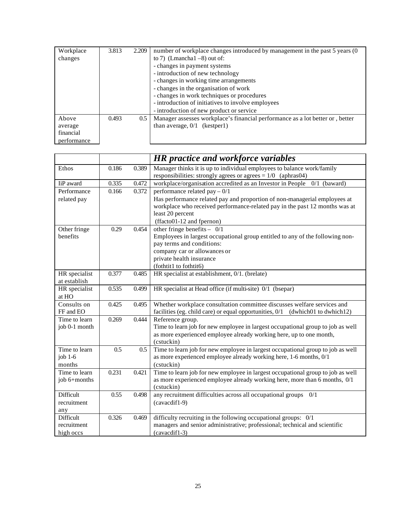| Workplace   | 3.813 | 2.209 | number of workplace changes introduced by management in the past 5 years (0)  |
|-------------|-------|-------|-------------------------------------------------------------------------------|
| changes     |       |       | to 7) (Lmancha $1 - 8$ ) out of:                                              |
|             |       |       | - changes in payment systems                                                  |
|             |       |       | - introduction of new technology                                              |
|             |       |       | - changes in working time arrangements                                        |
|             |       |       | - changes in the organisation of work                                         |
|             |       |       | - changes in work techniques or procedures                                    |
|             |       |       | - introduction of initiatives to involve employees                            |
|             |       |       | - introduction of new product or service                                      |
| Above       | 0.493 | 0.5   | Manager assesses workplace's financial performance as a lot better or, better |
| average     |       |       | than average, $0/1$ (kestper1)                                                |
| financial   |       |       |                                                                               |
| performance |       |       |                                                                               |

|               |       |         | <b>HR</b> practice and workforce variables                                        |
|---------------|-------|---------|-----------------------------------------------------------------------------------|
| Ethos         | 0.186 | 0.389   | Manager thinks it is up to individual employees to balance work/family            |
|               |       |         | responsibilities: strongly agrees or agrees $= 1/0$ (aphras04)                    |
| IiP award     | 0.335 | 0.472   | workplace/organisation accredited as an Investor in People 0/1 (baward)           |
| Performance   | 0.166 | 0.372   | performance related pay $-0/1$                                                    |
| related pay   |       |         | Has performance related pay and proportion of non-managerial employees at         |
|               |       |         | workplace who received performance-related pay in the past 12 months was at       |
|               |       |         | least 20 percent                                                                  |
|               |       |         | (ffacto01-12 and fpernon)                                                         |
| Other fringe  | 0.29  | 0.454   | other fringe benefits - $0/1$                                                     |
| benefits      |       |         | Employees in largest occupational group entitled to any of the following non-     |
|               |       |         | pay terms and conditions:                                                         |
|               |       |         | company car or allowances or                                                      |
|               |       |         | private health insurance<br>(fothtit1 to fothtit6)                                |
| HR specialist | 0.377 |         |                                                                                   |
| at establish  |       | 0.485   | HR specialist at establishment, 0/1. (brelate)                                    |
| HR specialist | 0.535 | 0.499   | HR specialist at Head office (if multi-site) 0/1 (bsepar)                         |
| at HO         |       |         |                                                                                   |
| Consults on   | 0.425 | 0.495   | Whether workplace consultation committee discusses welfare services and           |
| FF and EO     |       |         | facilities (eg. child care) or equal opportunities, 0/1<br>(dwhich01 to dwhich12) |
| Time to learn | 0.269 | 0.444   | Reference group.                                                                  |
| job 0-1 month |       |         | Time to learn job for new employee in largest occupational group to job as well   |
|               |       |         | as more experienced employee already working here, up to one month,               |
|               |       |         | (cstuckin)                                                                        |
| Time to learn | 0.5   | $0.5\,$ | Time to learn job for new employee in largest occupational group to job as well   |
| job $1-6$     |       |         | as more experienced employee already working here, 1-6 months, 0/1                |
| months        |       |         | (cstuckin)                                                                        |
| Time to learn | 0.231 | 0.421   | Time to learn job for new employee in largest occupational group to job as well   |
| job 6+months  |       |         | as more experienced employee already working here, more than 6 months, 0/1        |
|               |       |         | (cstuckin)                                                                        |
| Difficult     | 0.55  | 0.498   | any recruitment difficulties across all occupational groups $0/1$                 |
| recruitment   |       |         | (cavacdif1-9)                                                                     |
| any           |       |         |                                                                                   |
| Difficult     | 0.326 | 0.469   | difficulty recruiting in the following occupational groups: 0/1                   |
| recruitment   |       |         | managers and senior administrative; professional; technical and scientific        |
| high occs     |       |         | (cavacdif1-3)                                                                     |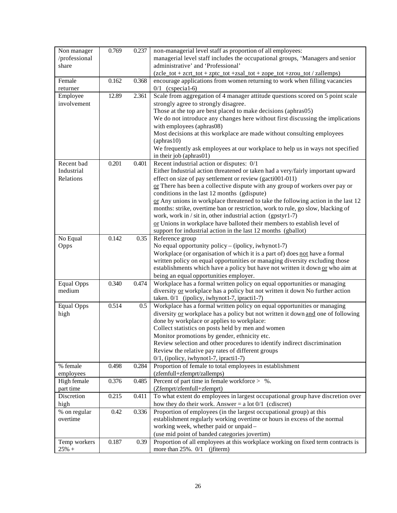| Non manager<br>/professional<br>share | 0.769 | 0.237   | non-managerial level staff as proportion of all employees:<br>managerial level staff includes the occupational groups, 'Managers and senior<br>administrative' and 'Professional' |
|---------------------------------------|-------|---------|-----------------------------------------------------------------------------------------------------------------------------------------------------------------------------------|
|                                       |       |         | (zcle_tot + zcrt_tot + zptc_tot +zsal_tot + zope_tot +zrou_tot / zallemps)                                                                                                        |
| Female<br>returner                    | 0.162 | 0.368   | encourage applications from women returning to work when filling vacancies<br>$0/1$ (cspecial-6)                                                                                  |
| Employee                              | 12.89 | 2.361   | Scale from aggregation of 4 manager attitude questions scored on 5 point scale                                                                                                    |
| involvement                           |       |         | strongly agree to strongly disagree.                                                                                                                                              |
|                                       |       |         | Those at the top are best placed to make decisions (aphras05)                                                                                                                     |
|                                       |       |         | We do not introduce any changes here without first discussing the implications                                                                                                    |
|                                       |       |         | with employees (aphras08)                                                                                                                                                         |
|                                       |       |         | Most decisions at this workplace are made without consulting employees                                                                                                            |
|                                       |       |         | $(\text{aphras}10)$                                                                                                                                                               |
|                                       |       |         | We frequently ask employees at our workplace to help us in ways not specified                                                                                                     |
|                                       |       |         | in their job (aphras01)                                                                                                                                                           |
| Recent bad                            | 0.201 | 0.401   | Recent industrial action or disputes: 0/1                                                                                                                                         |
| Industrial<br>Relations               |       |         | Either Industrial action threatened or taken had a very/fairly important upward                                                                                                   |
|                                       |       |         | effect on size of pay settlement or review (gacti001-011)<br>or There has been a collective dispute with any group of workers over pay or                                         |
|                                       |       |         | conditions in the last 12 months (gdispute)                                                                                                                                       |
|                                       |       |         | or Any unions in workplace threatened to take the following action in the last 12                                                                                                 |
|                                       |       |         | months: strike, overtime ban or restriction, work to rule, go slow, blacking of                                                                                                   |
|                                       |       |         | work, work in / sit in, other industrial action (gpstyr1-7)                                                                                                                       |
|                                       |       |         | or Unions in workplace have balloted their members to establish level of                                                                                                          |
|                                       |       |         | support for industrial action in the last 12 months (gballot)                                                                                                                     |
| No Equal                              | 0.142 | 0.35    | Reference group                                                                                                                                                                   |
| Opps                                  |       |         | No equal opportunity policy - (ipolicy, iwhynot1-7)                                                                                                                               |
|                                       |       |         | Workplace (or organisation of which it is a part of) does not have a formal                                                                                                       |
|                                       |       |         | written policy on equal opportunities or managing diversity excluding those                                                                                                       |
|                                       |       |         | establishments which have a policy but have not written it down or who aim at<br>being an equal opportunities employer.                                                           |
| <b>Equal Opps</b>                     | 0.340 | 0.474   | Workplace has a formal written policy on equal opportunities or managing                                                                                                          |
| medium                                |       |         | diversity or workplace has a policy but not written it down No further action                                                                                                     |
|                                       |       |         | taken. 0/1 (ipolicy, iwhynot1-7, ipracti1-7)                                                                                                                                      |
| <b>Equal Opps</b>                     | 0.514 | $0.5\,$ | Workplace has a formal written policy on equal opportunities or managing                                                                                                          |
| high                                  |       |         | diversity or workplace has a policy but not written it down and one of following                                                                                                  |
|                                       |       |         | done by workplace or applies to workplace:                                                                                                                                        |
|                                       |       |         | Collect statistics on posts held by men and women                                                                                                                                 |
|                                       |       |         | Monitor promotions by gender, ethnicity etc.                                                                                                                                      |
|                                       |       |         | Review selection and other procedures to identify indirect discrimination                                                                                                         |
|                                       |       |         | Review the relative pay rates of different groups                                                                                                                                 |
| % female                              | 0.498 | 0.284   | 0/1, (ipolicy, iwhynot1-7, ipracti1-7)<br>Proportion of female to total employees in establishment                                                                                |
| employees                             |       |         | (zfemfull+zfemprt/zallemps)                                                                                                                                                       |
| High female                           | 0.376 | 0.485   | Percent of part time in female workforce $>$ %.                                                                                                                                   |
| part time                             |       |         | (Zfemprt/zfemfull+zfemprt)                                                                                                                                                        |
| Discretion                            | 0.215 | 0.411   | To what extent do employees in largest occupational group have discretion over                                                                                                    |
| high                                  |       |         | how they do their work. Answer = $a$ lot $0/1$ (cdiscret)                                                                                                                         |
| % on regular                          | 0.42  | 0.336   | Proportion of employees (in the largest occupational group) at this                                                                                                               |
| overtime                              |       |         | establishment regularly working overtime or hours in excess of the normal                                                                                                         |
|                                       |       |         | working week, whether paid or unpaid-                                                                                                                                             |
|                                       |       |         | (use mid point of banded categories jovertim)                                                                                                                                     |
| Temp workers                          | 0.187 | 0.39    | Proportion of all employees at this workplace working on fixed term contracts is                                                                                                  |
| $25% +$                               |       |         | more than $25\%$ . $0/1$ (jfiterm)                                                                                                                                                |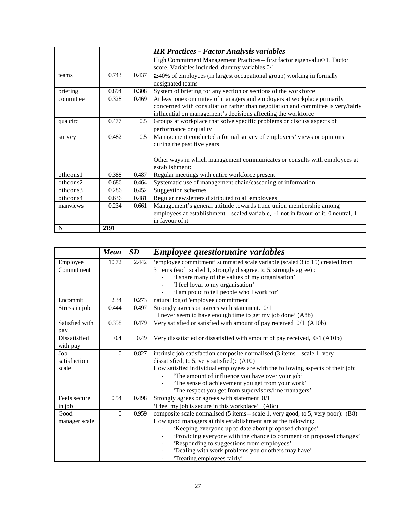|           |       |       | <b>HR Practices - Factor Analysis variables</b>                                    |
|-----------|-------|-------|------------------------------------------------------------------------------------|
|           |       |       | High Commitment Management Practices – first factor eigenvalue>1. Factor           |
|           |       |       | score. Variables included, dummy variables 0/1                                     |
| teams     | 0.743 | 0.437 | $\geq$ 40% of employees (in largest occupational group) working in formally        |
|           |       |       | designated teams                                                                   |
| briefing  | 0.894 | 0.308 | System of briefing for any section or sections of the workforce                    |
| committee | 0.328 | 0.469 | At least one committee of managers and employers at workplace primarily            |
|           |       |       | concerned with consultation rather than negotiation and committee is very/fairly   |
|           |       |       | influential on management's decisions affecting the workforce                      |
| qualcirc  | 0.477 | 0.5   | Groups at workplace that solve specific problems or discuss aspects of             |
|           |       |       | performance or quality                                                             |
| survey    | 0.482 | 0.5   | Management conducted a formal survey of employees' views or opinions               |
|           |       |       | during the past five years                                                         |
|           |       |       |                                                                                    |
|           |       |       | Other ways in which management communicates or consults with employees at          |
|           |       |       | establishment:                                                                     |
| othcons1  | 0.388 | 0.487 | Regular meetings with entire workforce present                                     |
| othcons2  | 0.686 | 0.464 | Systematic use of management chain/cascading of information                        |
| othcons3  | 0.286 | 0.452 | Suggestion schemes                                                                 |
| othcons4  | 0.636 | 0.481 | Regular newsletters distributed to all employees                                   |
| manviews  | 0.234 | 0.661 | Management's general attitude towards trade union membership among                 |
|           |       |       | employees at establishment - scaled variable, -1 not in favour of it, 0 neutral, 1 |
|           |       |       | in favour of it                                                                    |
| N         | 2191  |       |                                                                                    |

|                | <b>Mean</b>  | SD    | <b>Employee questionnaire variables</b>                                          |
|----------------|--------------|-------|----------------------------------------------------------------------------------|
| Employee       | 10.72        | 2.442 | 'employee commitment' summated scale variable (scaled 3 to 15) created from      |
| Commitment     |              |       | 3 items (each scaled 1, strongly disagree, to 5, strongly agree) :               |
|                |              |       | 'I share many of the values of my organisation'                                  |
|                |              |       | 'I feel loyal to my organisation'                                                |
|                |              |       | 'I am proud to tell people who I work for'                                       |
| Lncommit       | 2.34         | 0.273 | natural log of 'employee commitment'                                             |
| Stress in job  | 0.444        | 0.497 | Strongly agrees or agrees with statement. 0/1                                    |
|                |              |       | 'I never seem to have enough time to get my job done' (A8b)                      |
| Satisfied with | 0.358        | 0.479 | Very satisfied or satisfied with amount of pay received 0/1 (A10b)               |
| pay            |              |       |                                                                                  |
| Dissatisfied   | 0.4          | 0.49  | Very dissatisfied or dissatisfied with amount of pay received, 0/1 (A10b)        |
| with pay       |              |       |                                                                                  |
| Job            | $\mathbf{0}$ | 0.827 | intrinsic job satisfaction composite normalised (3 items – scale 1, very         |
| satisfaction   |              |       | dissatisfied, to 5, very satisfied): $(A10)$                                     |
| scale          |              |       | How satisfied individual employees are with the following aspects of their job:  |
|                |              |       | 'The amount of influence you have over your job'                                 |
|                |              |       | 'The sense of achievement you get from your work'                                |
|                |              |       | 'The respect you get from supervisors/line managers'                             |
| Feels secure   | 0.54         | 0.498 | Strongly agrees or agrees with statement 0/1                                     |
| in job         |              |       | 'I feel my job is secure in this workplace' (A8c)                                |
| Good           | $\mathbf{0}$ | 0.959 | composite scale normalised (5 items – scale 1, very good, to 5, very poor): (B8) |
| manager scale  |              |       | How good managers at this establishment are at the following:                    |
|                |              |       | 'Keeping everyone up to date about proposed changes'                             |
|                |              |       | 'Providing everyone with the chance to comment on proposed changes'              |
|                |              |       | 'Responding to suggestions from employees'                                       |
|                |              |       | 'Dealing with work problems you or others may have'                              |
|                |              |       | 'Treating employees fairly'                                                      |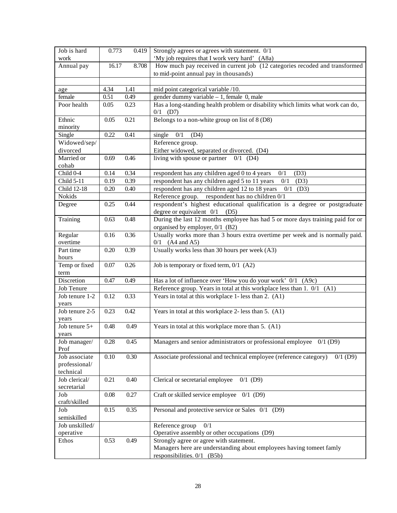| Job is hard<br>work  | 0.773    | 0.419 | Strongly agrees or agrees with statement. 0/1<br>'My job requires that I work very hard' (A8a)                   |
|----------------------|----------|-------|------------------------------------------------------------------------------------------------------------------|
| Annual pay           | 16.17    | 8.708 | How much pay received in current job (12 categories recoded and transformed                                      |
|                      |          |       | to mid-point annual pay in thousands)                                                                            |
|                      |          |       |                                                                                                                  |
| age                  | 4.34     | 1.41  | mid point categorical variable /10.                                                                              |
| female               | 0.51     | 0.49  | gender dummy variable - 1, female 0, male                                                                        |
| Poor health          | 0.05     | 0.23  | Has a long-standing health problem or disability which limits what work can do,<br>$0/1$ (D7)                    |
| Ethnic<br>minority   | 0.05     | 0.21  | Belongs to a non-white group on list of 8 (D8)                                                                   |
| Single               | 0.22     | 0.41  | single<br>0/1<br>(D4)                                                                                            |
| Widowed/sep/         |          |       | Reference group.                                                                                                 |
| divorced             |          |       | Either widowed, separated or divorced. (D4)                                                                      |
| Married or           | 0.69     | 0.46  | living with spouse or partner $0/1$ (D4)                                                                         |
| cohab                |          |       |                                                                                                                  |
| Child 0-4            | 0.14     | 0.34  | respondent has any children aged 0 to 4 years<br>(D3)<br>0/1                                                     |
| Child 5-11           | 0.19     | 0.39  | respondent has any children aged 5 to 11 years<br>0/1<br>(D3)                                                    |
| Child 12-18          | 0.20     | 0.40  | respondent has any children aged 12 to 18 years<br>0/1<br>(D3)                                                   |
| Nokids               | 0.25     | 0.44  | Reference group. respondent has no children $0/1$                                                                |
| Degree               |          |       | respondent's highest educational qualification is a degree or postgraduate<br>degree or equivalent $0/1$<br>(D5) |
| Training             | 0.63     | 0.48  | During the last 12 months employee has had 5 or more days training paid for or                                   |
|                      |          |       | organised by employer, 0/1 (B2)                                                                                  |
| Regular              | 0.16     | 0.36  | Usually works more than 3 hours extra overtime per week and is normally paid.                                    |
| overtime             |          |       | $0/1$ (A4 and A5)                                                                                                |
| Part time<br>hours   | 0.20     | 0.39  | Usually works less than 30 hours per week (A3)                                                                   |
| Temp or fixed        | 0.07     | 0.26  | Job is temporary or fixed term, 0/1 (A2)                                                                         |
| term                 |          |       |                                                                                                                  |
| Discretion           | 0.47     | 0.49  | Has a lot of influence over 'How you do your work' 0/1 (A9c)                                                     |
| <b>Job Tenure</b>    |          |       | Reference group. Years in total at this workplace less than 1. 0/1 (A1)                                          |
| Job tenure 1-2       | 0.12     | 0.33  | Years in total at this workplace 1-less than 2. (A1)                                                             |
| years                |          |       |                                                                                                                  |
| Job tenure 2-5       | 0.23     | 0.42  | Years in total at this workplace 2- less than 5. (A1)                                                            |
| years                |          |       |                                                                                                                  |
| Job tenure $5+$      | 0.48     | 0.49  | Years in total at this workplace more than 5. (A1)                                                               |
| years                |          |       |                                                                                                                  |
| Job manager/<br>Prof | 0.28     | 0.45  | Managers and senior administrators or professional employee 0/1 (D9)                                             |
| Job associate        | $0.10\,$ | 0.30  | Associate professional and technical employee (reference category)<br>$0/1$ (D9)                                 |
| professional/        |          |       |                                                                                                                  |
| technical            |          |       |                                                                                                                  |
| Job clerical/        | 0.21     | 0.40  | Clerical or secretarial employee<br>$0/1$ (D9)                                                                   |
| secretarial          |          |       |                                                                                                                  |
| Job                  | $0.08\,$ | 0.27  | Craft or skilled service employee<br>$0/1$ (D9)                                                                  |
| craft/skilled        |          |       |                                                                                                                  |
| Job<br>semiskilled   | 0.15     | 0.35  | Personal and protective service or Sales 0/1 (D9)                                                                |
| Job unskilled/       |          |       | 0/1<br>Reference group                                                                                           |
| operative            |          |       | Operative assembly or other occupations (D9)                                                                     |
| Ethos                | 0.53     | 0.49  | Strongly agree or agree with statement.                                                                          |
|                      |          |       | Managers here are understanding about employees having tomeet famly                                              |
|                      |          |       | responsibilities. $0/1$ (B5b)                                                                                    |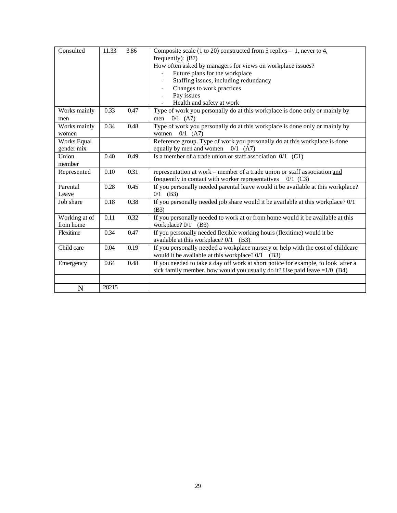| Consulted     | 11.33 | 3.86 | Composite scale (1 to 20) constructed from 5 replies $-1$ , never to 4,           |
|---------------|-------|------|-----------------------------------------------------------------------------------|
|               |       |      | frequently): $(B7)$                                                               |
|               |       |      | How often asked by managers for views on workplace issues?                        |
|               |       |      | Future plans for the workplace                                                    |
|               |       |      | Staffing issues, including redundancy<br>$\overline{\phantom{a}}$                 |
|               |       |      | Changes to work practices                                                         |
|               |       |      | Pay issues                                                                        |
|               |       |      | Health and safety at work                                                         |
| Works mainly  | 0.33  | 0.47 | Type of work you personally do at this workplace is done only or mainly by        |
| men           |       |      | $0/1$ (A7)<br>men                                                                 |
| Works mainly  | 0.34  | 0.48 | Type of work you personally do at this workplace is done only or mainly by        |
| women         |       |      | $0/1$ (A7)<br>women                                                               |
| Works Equal   |       |      | Reference group. Type of work you personally do at this workplace is done         |
| gender mix    |       |      | equally by men and women $0/1$ (A7)                                               |
| Union         | 0.40  | 0.49 | Is a member of a trade union or staff association $0/1$ (C1)                      |
| member        |       |      |                                                                                   |
| Represented   | 0.10  | 0.31 | representation at work - member of a trade union or staff association and         |
|               |       |      | frequently in contact with worker representatives<br>$0/1$ (C3)                   |
| Parental      | 0.28  | 0.45 | If you personally needed parental leave would it be available at this workplace?  |
| Leave         |       |      | $0/1$ (B3)                                                                        |
| Job share     | 0.18  | 0.38 | If you personally needed job share would it be available at this workplace? 0/1   |
|               |       |      | (B3)                                                                              |
| Working at of | 0.11  | 0.32 | If you personally needed to work at or from home would it be available at this    |
| from home     |       |      | workplace? 0/1<br>(B3)                                                            |
| Flexitime     | 0.34  | 0.47 | If you personally needed flexible working hours (flexitime) would it be           |
|               |       |      | available at this workplace? $0/1$ (B3)                                           |
| Child care    | 0.04  | 0.19 | If you personally needed a workplace nursery or help with the cost of childcare   |
|               |       |      | would it be available at this workplace? $0/1$ (B3)                               |
| Emergency     | 0.64  | 0.48 | If you needed to take a day off work at short notice for example, to look after a |
|               |       |      | sick family member, how would you usually do it? Use paid leave $=1/0$ (B4)       |
|               |       |      |                                                                                   |
| N             | 28215 |      |                                                                                   |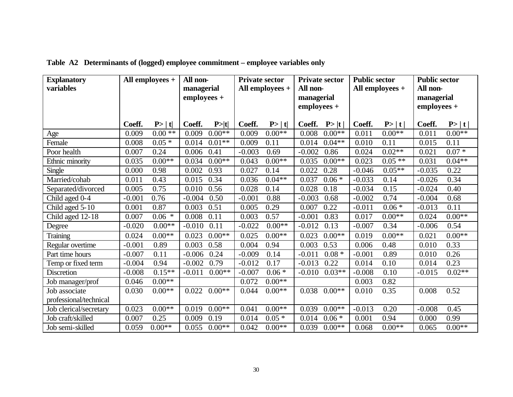| <b>Explanatory</b>     | All employees + |          | All non-     |          | <b>Private sector</b> |                 | <b>Private sector</b> |            | <b>Public sector</b> |                   | <b>Public sector</b> |          |
|------------------------|-----------------|----------|--------------|----------|-----------------------|-----------------|-----------------------|------------|----------------------|-------------------|----------------------|----------|
| variables              |                 |          | managerial   |          |                       | All employees + | All non-              |            |                      | All employees $+$ | All non-             |          |
|                        |                 |          | $employes +$ |          |                       |                 |                       | managerial |                      |                   | managerial           |          |
|                        |                 |          |              |          |                       |                 | employees +           |            |                      |                   | employees +          |          |
|                        |                 |          |              |          |                       |                 |                       |            |                      |                   |                      |          |
|                        | Coeff.          | P> t     | Coeff.       | P> t     | Coeff.                | P >  t          | Coeff.                | P> t       | Coeff.               | P> t              | Coeff.               | P> t     |
| Age                    | 0.009           | $0.00**$ | 0.009        | $0.00**$ | 0.009                 | $0.00**$        | 0.008                 | $0.00**$   | 0.011                | $0.00**$          | 0.011                | $0.00**$ |
| Female                 | 0.008           | $0.05*$  | 0.014        | $0.01**$ | 0.009                 | 0.11            | 0.014                 | $0.04**$   | 0.010                | 0.11              | 0.015                | 0.11     |
| Poor health            | 0.007           | 0.24     | 0.006        | 0.41     | $-0.003$              | 0.69            | $-0.002$              | 0.86       | 0.024                | $0.02**$          | 0.021                | $0.07 *$ |
| Ethnic minority        | 0.035           | $0.00**$ | 0.034        | $0.00**$ | 0.043                 | $0.00**$        | 0.035                 | $0.00**$   | 0.023                | $0.05**$          | 0.031                | $0.04**$ |
| Single                 | 0.000           | 0.98     | 0.002        | 0.93     | 0.027                 | 0.14            | 0.022                 | 0.28       | $-0.046$             | $0.05**$          | $-0.035$             | 0.22     |
| Married/cohab          | 0.011           | 0.43     | 0.015        | 0.34     | 0.036                 | $0.04**$        | 0.037                 | $0.06 *$   | $-0.033$             | 0.14              | $-0.026$             | 0.34     |
| Separated/divorced     | 0.005           | 0.75     | 0.010        | 0.56     | 0.028                 | 0.14            | 0.028                 | 0.18       | $-0.034$             | 0.15              | $-0.024$             | 0.40     |
| Child aged 0-4         | $-0.001$        | 0.76     | $-0.004$     | 0.50     | $-0.001$              | 0.88            | $-0.003$              | 0.68       | $-0.002$             | 0.74              | $-0.004$             | 0.68     |
| Child aged 5-10        | 0.001           | 0.87     | 0.003        | 0.51     | 0.005                 | 0.29            | 0.007                 | 0.22       | $-0.011$             | $0.06 *$          | $-0.013$             | 0.11     |
| Child aged 12-18       | 0.007           | $0.06 *$ | 0.008        | 0.11     | 0.003                 | 0.57            | $-0.001$              | 0.83       | 0.017                | $0.00**$          | 0.024                | $0.00**$ |
| Degree                 | $-0.020$        | $0.00**$ | $-0.010$     | 0.11     | $-0.022$              | $0.00**$        | $-0.012$              | 0.13       | $-0.007$             | 0.34              | $-0.006$             | 0.54     |
| <b>Training</b>        | 0.024           | $0.00**$ | 0.023        | $0.00**$ | 0.025                 | $0.00**$        | 0.023                 | $0.00**$   | 0.019                | $0.00**$          | 0.021                | $0.00**$ |
| Regular overtime       | $-0.001$        | 0.89     | 0.003        | 0.58     | 0.004                 | 0.94            | 0.003                 | 0.53       | 0.006                | 0.48              | 0.010                | 0.33     |
| Part time hours        | $-0.007$        | 0.11     | $-0.006$     | 0.24     | $-0.009$              | 0.14            | $-0.011$              | $0.08 *$   | $-0.001$             | 0.89              | 0.010                | 0.26     |
| Temp or fixed term     | $-0.004$        | 0.94     | $-0.002$     | 0.79     | $-0.012$              | 0.17            | $-0.013$              | 0.22       | 0.014                | 0.10              | 0.014                | 0.23     |
| Discretion             | $-0.008$        | $0.15**$ | $-0.011$     | $0.00**$ | $-0.007$              | $0.06*$         | $-0.010$              | $0.03**$   | $-0.008$             | 0.10              | $-0.015$             | $0.02**$ |
| Job manager/prof       | 0.046           | $0.00**$ |              |          | 0.072                 | $0.00**$        |                       |            | 0.003                | 0.82              |                      |          |
| Job associate          | 0.030           | $0.00**$ | 0.022        | $0.00**$ | 0.044                 | $0.00**$        | 0.038                 | $0.00**$   | 0.010                | 0.35              | 0.008                | 0.52     |
| professional/technical |                 |          |              |          |                       |                 |                       |            |                      |                   |                      |          |
| Job clerical/secretary | 0.023           | $0.00**$ | 0.019        | $0.00**$ | 0.041                 | $0.00**$        | 0.039                 | $0.00**$   | $-0.013$             | 0.20              | $-0.008$             | 0.45     |
| Job craft/skilled      | 0.007           | 0.25     | 0.009        | 0.19     | 0.014                 | $0.05*$         | 0.014                 | $0.06*$    | 0.001                | 0.94              | 0.000                | 0.99     |
| Job semi-skilled       | 0.059           | $0.00**$ | 0.055        | $0.00**$ | 0.042                 | $0.00**$        | 0.039                 | $0.00**$   | 0.068                | $0.00**$          | 0.065                | $0.00**$ |

**Table A2 Determinants of (logged) employee commitment – employee variables only**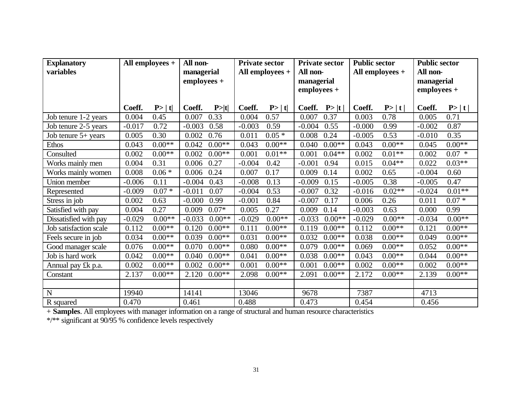| <b>Explanatory</b>     | All employees $+$ |          | All non-    |          | <b>Private sector</b> |                   | <b>Private sector</b> |          | <b>Public sector</b> |          | <b>Public sector</b> |          |
|------------------------|-------------------|----------|-------------|----------|-----------------------|-------------------|-----------------------|----------|----------------------|----------|----------------------|----------|
| variables              |                   |          | managerial  |          |                       | All employees $+$ | All non-              |          | All employees +      |          | All non-             |          |
|                        |                   |          | employees + |          |                       |                   | managerial            |          |                      |          | managerial           |          |
|                        |                   |          |             |          |                       |                   | $employees +$         |          |                      |          | $employees +$        |          |
|                        |                   |          |             |          |                       |                   |                       |          |                      |          |                      |          |
|                        | Coeff.            | P >  t   | Coeff.      | P >  t   | Coeff.                | P >  t            | Coeff.                | P> t     | Coeff.               | P> t     | Coeff.               | P> t     |
| Job tenure 1-2 years   | 0.004             | 0.45     | 0.007       | 0.33     | 0.004                 | 0.57              | 0.007                 | 0.37     | 0.003                | 0.78     | 0.005                | 0.71     |
| Job tenure 2-5 years   | $-0.017$          | 0.72     | $-0.003$    | 0.58     | $-0.003$              | 0.59              | $-0.004$              | 0.55     | $-0.000$             | 0.99     | $-0.002$             | 0.87     |
| Job tenure 5+ years    | 0.005             | 0.30     | 0.002       | 0.76     | 0.011                 | $0.05*$           | 0.008                 | 0.24     | $-0.005$             | 0.53     | $-0.010$             | 0.35     |
| Ethos                  | 0.043             | $0.00**$ | 0.042       | $0.00**$ | 0.043                 | $0.00**$          | 0.040                 | $0.00**$ | 0.043                | $0.00**$ | 0.045                | $0.00**$ |
| Consulted              | 0.002             | $0.00**$ | 0.002       | $0.00**$ | 0.001                 | $0.01**$          | 0.001                 | $0.04**$ | 0.002                | $0.01**$ | 0.002                | $0.07 *$ |
| Works mainly men       | 0.004             | 0.31     | 0.006       | 0.27     | $-0.004$              | 0.42              | $-0.001$              | 0.94     | 0.015                | $0.04**$ | 0.022                | $0.03**$ |
| Works mainly women     | 0.008             | $0.06 *$ | 0.006       | 0.24     | 0.007                 | 0.17              | 0.009                 | 0.14     | 0.002                | 0.65     | $-0.004$             | 0.60     |
| Union member           | $-0.006$          | 0.11     | $-0.004$    | 0.43     | $-0.008$              | 0.13              | $-0.009$              | 0.15     | $-0.005$             | 0.38     | $-0.005$             | 0.47     |
| Represented            | $-0.009$          | $0.07 *$ | $-0.011$    | 0.07     | $-0.004$              | 0.53              | $-0.007$              | 0.32     | $-0.016$             | $0.02**$ | $-0.024$             | $0.01**$ |
| Stress in job          | 0.002             | 0.63     | $-0.000$    | 0.99     | $-0.001$              | 0.84              | $-0.007$              | 0.17     | 0.006                | 0.26     | 0.011                | $0.07 *$ |
| Satisfied with pay     | 0.004             | 0.27     | 0.009       | $0.07*$  | 0.005                 | 0.27              | 0.009                 | 0.14     | $-0.003$             | 0.63     | 0.000                | 0.99     |
| Dissatisfied with pay  | $-0.029$          | $0.00**$ | $-0.033$    | $0.00**$ | $-0.029$              | $0.00**$          | $-0.033$              | $0.00**$ | $-0.029$             | $0.00**$ | $-0.034$             | $0.00**$ |
| Job satisfaction scale | 0.112             | $0.00**$ | 0.120       | $0.00**$ | 0.111                 | $0.00**$          | 0.119                 | $0.00**$ | 0.112                | $0.00**$ | 0.121                | $0.00**$ |
| Feels secure in job    | 0.034             | $0.00**$ | 0.039       | $0.00**$ | 0.031                 | $0.00**$          | 0.032                 | $0.00**$ | 0.038                | $0.00**$ | 0.049                | $0.00**$ |
| Good manager scale     | 0.076             | $0.00**$ | 0.070       | $0.00**$ | 0.080                 | $0.00**$          | 0.079                 | $0.00**$ | 0.069                | $0.00**$ | 0.052                | $0.00**$ |
| Job is hard work       | 0.042             | $0.00**$ | 0.040       | $0.00**$ | 0.041                 | $0.00**$          | 0.038                 | $0.00**$ | 0.043                | $0.00**$ | 0.044                | $0.00**$ |
| Annual pay £k p.a.     | 0.002             | $0.00**$ | 0.002       | $0.00**$ | 0.001                 | $0.00**$          | 0.001                 | $0.00**$ | 0.002                | $0.00**$ | 0.002                | $0.00**$ |
| Constant               | 2.137             | $0.00**$ | 2.120       | $0.00**$ | 2.098                 | $0.00**$          | 2.091                 | $0.00**$ | 2.172                | $0.00**$ | 2.139                | $0.00**$ |
|                        |                   |          |             |          |                       |                   |                       |          |                      |          |                      |          |
| $\mathbf N$            | 19940             |          | 14141       |          | 13046                 |                   | 9678                  |          | 7387                 |          | 4713                 |          |
| R squared              | 0.470             |          | 0.461       |          | 0.488                 |                   | 0.473                 |          | 0.454                |          | 0.456                |          |

+ **Samples**. All employees with manager information on a range of structural and human resource characteristics

\*/\*\* significant at 90/95 % confidence levels respectively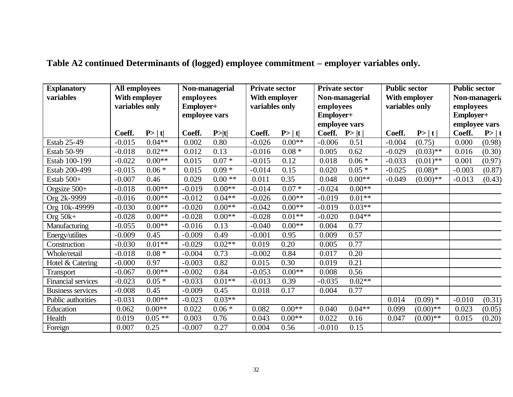| <b>Explanatory</b><br>variables | <b>All employees</b><br>With employer<br>variables only |                   | Non-managerial<br>employees<br>Employer+<br>employee vars |          | <b>Private sector</b><br>With employer<br>variables only |          | <b>Private sector</b><br>Non-managerial<br>employees<br>Employer+ |          | <b>Public sector</b><br>With employer<br>variables only |             | <b>Public sector</b><br>Non-manageria<br>employees<br>Employer+ |        |
|---------------------------------|---------------------------------------------------------|-------------------|-----------------------------------------------------------|----------|----------------------------------------------------------|----------|-------------------------------------------------------------------|----------|---------------------------------------------------------|-------------|-----------------------------------------------------------------|--------|
|                                 |                                                         |                   | Coeff.<br>P> t                                            |          | Coeff.                                                   | P >  t   | employee vars<br>Coeff.<br>P> t                                   |          | P> t <br>Coeff.                                         |             | employee vars<br>Coeff.                                         | P >  t |
| Estab 25-49                     | Coeff.<br>$-0.015$                                      | P> t <br>$0.04**$ | 0.002                                                     | 0.80     | $-0.026$                                                 | $0.00**$ | $-0.006$                                                          | 0.51     | $-0.004$                                                | (0.75)      | 0.000                                                           | (0.98) |
| Estab 50-99                     | $-0.018$                                                | $0.02**$          | 0.012                                                     | 0.13     | $-0.016$                                                 | $0.08 *$ | 0.005                                                             | 0.62     | $-0.029$                                                | $(0.03)$ ** | 0.016                                                           | (0.30) |
| Estab 100-199                   | $-0.022$                                                | $0.00**$          | 0.015                                                     | $0.07 *$ | $-0.015$                                                 | 0.12     | 0.018                                                             | $0.06 *$ | $-0.033$                                                | $(0.01)$ ** | 0.001                                                           | (0.97) |
| Estab 200-499                   | $-0.015$                                                | $0.06 *$          | 0.015                                                     | $0.09*$  | $-0.014$                                                 | 0.15     | 0.020                                                             | $0.05*$  | $-0.025$                                                | $(0.08)*$   | $-0.003$                                                        | (0.87) |
| Estab 500+                      | $-0.007$                                                | 0.46              | 0.029                                                     | $0.00**$ | 0.011                                                    | 0.35     | 0.048                                                             | $0.00**$ | $-0.049$                                                | $(0.00)$ ** | $-0.013$                                                        | (0.43) |
| Orgsize 500+                    | $-0.018$                                                | $0.00**$          | $-0.019$                                                  | $0.00**$ | $-0.014$                                                 | $0.07 *$ | $-0.024$                                                          | $0.00**$ |                                                         |             |                                                                 |        |
| Org 2k-9999                     | $-0.016$                                                | $0.00**$          | $-0.012$                                                  | $0.04**$ | $-0.026$                                                 | $0.00**$ | $-0.019$                                                          | $0.01**$ |                                                         |             |                                                                 |        |
| Org 10k-49999                   | $-0.030$                                                | $0.00**$          | $-0.020$                                                  | $0.00**$ | $-0.042$                                                 | $0.00**$ | $-0.019$                                                          | $0.03**$ |                                                         |             |                                                                 |        |
| Org $50k+$                      | $-0.028$                                                | $0.00**$          | $-0.028$                                                  | $0.00**$ | $-0.028$                                                 | $0.01**$ | $-0.020$                                                          | $0.04**$ |                                                         |             |                                                                 |        |
| Manufacturing                   | $-0.055$                                                | $0.00**$          | $-0.016$                                                  | 0.13     | $-0.040$                                                 | $0.00**$ | 0.004                                                             | 0.77     |                                                         |             |                                                                 |        |
| Energy/utilites                 | $-0.009$                                                | 0.45              | $-0.009$                                                  | 0.49     | $-0.001$                                                 | 0.95     | 0.009                                                             | 0.57     |                                                         |             |                                                                 |        |
| Construction                    | $-0.030$                                                | $0.01**$          | $-0.029$                                                  | $0.02**$ | 0.019                                                    | 0.20     | 0.005                                                             | 0.77     |                                                         |             |                                                                 |        |
| Whole/retail                    | $-0.018$                                                | $0.08 *$          | $-0.004$                                                  | 0.73     | $-0.002$                                                 | 0.84     | 0.017                                                             | 0.20     |                                                         |             |                                                                 |        |
| Hotel & Catering                | $-0.000$                                                | 0.97              | $-0.003$                                                  | 0.82     | 0.015                                                    | 0.30     | 0.019                                                             | 0.21     |                                                         |             |                                                                 |        |
| Transport                       | $-0.067$                                                | $0.00**$          | $-0.002$                                                  | 0.84     | $-0.053$                                                 | $0.00**$ | 0.008                                                             | 0.56     |                                                         |             |                                                                 |        |
| <b>Financial services</b>       | $-0.023$                                                | $0.05*$           | $-0.033$                                                  | $0.01**$ | $-0.013$                                                 | 0.39     | $-0.035$                                                          | $0.02**$ |                                                         |             |                                                                 |        |
| <b>Business services</b>        | $-0.008$                                                | 0.45              | $-0.009$                                                  | 0.45     | 0.018                                                    | 0.17     | 0.004                                                             | 0.77     |                                                         |             |                                                                 |        |
| Public authorities              | $-0.031$                                                | $0.00**$          | $-0.023$                                                  | $0.03**$ |                                                          |          |                                                                   |          | 0.014                                                   | $(0.09)$ *  | $-0.010$                                                        | (0.31) |
| Education                       | 0.062                                                   | $0.00**$          | 0.022                                                     | $0.06 *$ | 0.082                                                    | $0.00**$ | 0.040                                                             | $0.04**$ | 0.099                                                   | $(0.00)$ ** | 0.023                                                           | (0.05) |
| Health                          | 0.019                                                   | $0.05**$          | 0.003                                                     | 0.76     | 0.043                                                    | $0.00**$ | 0.022                                                             | 0.16     | 0.047                                                   | $(0.00)$ ** | 0.015                                                           | (0.20) |
| Foreign                         | 0.007                                                   | 0.25              | $-0.007$                                                  | 0.27     | 0.004                                                    | 0.56     | $-0.010$                                                          | 0.15     |                                                         |             |                                                                 |        |

## **Table A2 continued Determinants of (logged) employee commitment – employer variables only.**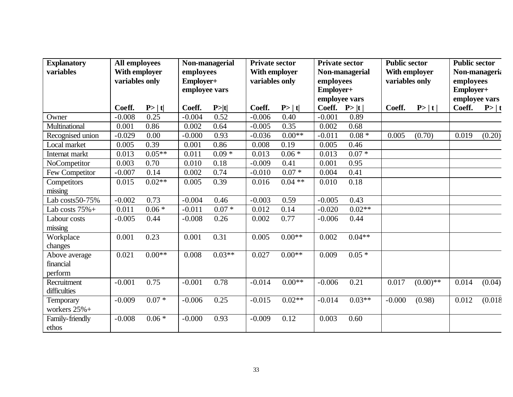| <b>Explanatory</b><br>variables | All employees<br>With employer |          | Non-managerial<br>employees |                 | <b>Private sector</b><br>With employer |                 | <b>Private sector</b><br>Non-managerial |          | <b>Public sector</b><br>With employer |             | <b>Public sector</b><br>Non-manageria |         |
|---------------------------------|--------------------------------|----------|-----------------------------|-----------------|----------------------------------------|-----------------|-----------------------------------------|----------|---------------------------------------|-------------|---------------------------------------|---------|
|                                 | variables only                 |          | Employer+<br>employee vars  |                 | variables only                         |                 | employees<br>Employer+                  |          | variables only                        |             | employees<br>Employer+                |         |
|                                 | Coeff.                         | P >  t   | Coeff.                      |                 | Coeff.                                 |                 | employee vars<br>Coeff. $P> t $         |          | Coeff.                                |             | employee vars<br>Coeff.<br>P >  t     |         |
| Owner                           | $-0.008$                       | 0.25     | $-0.004$                    | P >  t <br>0.52 | $-0.006$                               | P >  t <br>0.40 | $-0.001$                                | 0.89     |                                       | P> t        |                                       |         |
| Multinational                   | 0.001                          | 0.86     | 0.002                       | 0.64            | $-0.005$                               | 0.35            | 0.002                                   | 0.68     |                                       |             |                                       |         |
| Recognised union                | $-0.029$                       | 0.00     | $-0.000$                    | 0.93            | $-0.036$                               | $0.00**$        | $-0.011$                                | $0.08 *$ | 0.005                                 | (0.70)      | 0.019                                 | (0.20)  |
| Local market                    | 0.005                          | 0.39     | 0.001                       | 0.86            | 0.008                                  | 0.19            | 0.005                                   | 0.46     |                                       |             |                                       |         |
| Internat markt                  | 0.013                          | $0.05**$ | 0.011                       | $0.09 *$        | 0.013                                  | $0.06 *$        | 0.013                                   | $0.07 *$ |                                       |             |                                       |         |
| NoCompetitor                    | 0.003                          | 0.70     | 0.010                       | 0.18            | $-0.009$                               | 0.41            | 0.001                                   | 0.95     |                                       |             |                                       |         |
| Few Competitor                  | $-0.007$                       | 0.14     | 0.002                       | 0.74            | $-0.010$                               | $0.07*$         | 0.004                                   | 0.41     |                                       |             |                                       |         |
|                                 | 0.015                          | $0.02**$ | 0.005                       | 0.39            | 0.016                                  | $0.04**$        | 0.010                                   | 0.18     |                                       |             |                                       |         |
| Competitors<br>missing          |                                |          |                             |                 |                                        |                 |                                         |          |                                       |             |                                       |         |
| Lab costs50-75%                 | $-0.002$                       | 0.73     | $-0.004$                    | 0.46            | $-0.003$                               | 0.59            | $-0.005$                                | 0.43     |                                       |             |                                       |         |
|                                 |                                |          |                             |                 |                                        |                 |                                         |          |                                       |             |                                       |         |
| Lab costs $75% +$               | 0.011                          | $0.06*$  | $-0.011$                    | $0.07 *$        | 0.012                                  | 0.14            | $-0.020$                                | $0.02**$ |                                       |             |                                       |         |
| Labour costs                    | $-0.005$                       | 0.44     | $-0.008$                    | 0.26            | 0.002                                  | 0.77            | $-0.006$                                | 0.44     |                                       |             |                                       |         |
| missing                         |                                |          |                             |                 |                                        |                 |                                         |          |                                       |             |                                       |         |
| Workplace                       | 0.001                          | 0.23     | 0.001                       | 0.31            | 0.005                                  | $0.00**$        | 0.002                                   | $0.04**$ |                                       |             |                                       |         |
| changes                         |                                |          |                             |                 |                                        |                 |                                         |          |                                       |             |                                       |         |
| Above average                   | 0.021                          | $0.00**$ | 0.008                       | $0.03**$        | 0.027                                  | $0.00**$        | 0.009                                   | $0.05*$  |                                       |             |                                       |         |
| financial                       |                                |          |                             |                 |                                        |                 |                                         |          |                                       |             |                                       |         |
| perform                         |                                |          |                             |                 |                                        |                 |                                         |          |                                       |             |                                       |         |
| Recruitment                     | $-0.001$                       | 0.75     | $-0.001$                    | 0.78            | $-0.014$                               | $0.00**$        | $-0.006$                                | 0.21     | 0.017                                 | $(0.00)$ ** | 0.014                                 | (0.04)  |
| difficulties                    |                                |          |                             |                 |                                        |                 |                                         |          |                                       |             |                                       |         |
| Temporary                       | $-0.009$                       | $0.07 *$ | $-0.006$                    | 0.25            | $-0.015$                               | $0.02**$        | $-0.014$                                | $0.03**$ | $-0.000$                              | (0.98)      | 0.012                                 | (0.018) |
| workers $25% +$                 |                                |          |                             |                 |                                        |                 |                                         |          |                                       |             |                                       |         |
| Family-friendly                 | $-0.008$                       | $0.06*$  | $-0.000$                    | 0.93            | $-0.009$                               | 0.12            | 0.003                                   | 0.60     |                                       |             |                                       |         |
| ethos                           |                                |          |                             |                 |                                        |                 |                                         |          |                                       |             |                                       |         |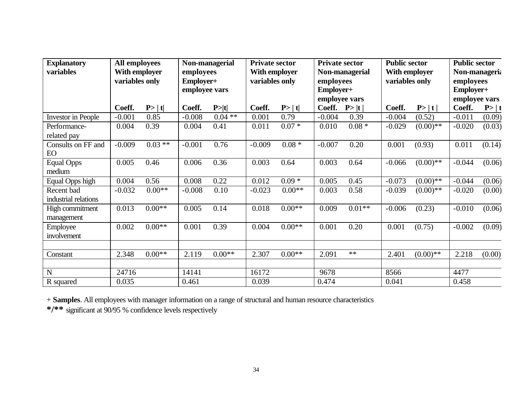| <b>Explanatory</b><br>variables    | <b>All employees</b><br>With employer<br>variables only |           | Non-managerial<br>employees<br>Employer+<br>employee vars |          | <b>Private sector</b><br>With employer<br>variables only |          | <b>Private sector</b><br>Non-managerial<br>employees<br>Employer+<br>employee vars |          | <b>Public sector</b><br>With employer<br>variables only |             | <b>Public sector</b><br>Non-manageria<br>employees<br>Employer+<br>employee vars |        |
|------------------------------------|---------------------------------------------------------|-----------|-----------------------------------------------------------|----------|----------------------------------------------------------|----------|------------------------------------------------------------------------------------|----------|---------------------------------------------------------|-------------|----------------------------------------------------------------------------------|--------|
|                                    | Coeff.                                                  | P >  t    | Coeff.                                                    | P> t     | Coeff.                                                   | P >  t   | Coeff.                                                                             | P> t     | Coeff.                                                  | P> t        | Coeff.                                                                           | P >  t |
| <b>Investor</b> in People          | $-0.001$                                                | 0.85      | $-0.008$                                                  | $0.04**$ | 0.001                                                    | 0.79     | $-0.004$                                                                           | 0.39     | $-0.004$                                                | (0.52)      | $-0.011$                                                                         | (0.09) |
| Performance-                       | 0.004                                                   | 0.39      | 0.004                                                     | 0.41     | 0.011                                                    | $0.07 *$ | 0.010                                                                              | $0.08 *$ | $-0.029$                                                | $(0.00)$ ** | $-0.020$                                                                         | (0.03) |
| related pay                        |                                                         |           |                                                           |          |                                                          |          |                                                                                    |          |                                                         |             |                                                                                  |        |
| Consults on FF and<br>EO           | $-0.009$                                                | $0.03$ ** | $-0.001$                                                  | 0.76     | $-0.009$                                                 | $0.08 *$ | $-0.007$                                                                           | 0.20     | 0.001                                                   | (0.93)      | 0.011                                                                            | (0.14) |
| <b>Equal Opps</b><br>medium        | 0.005                                                   | 0.46      | 0.006                                                     | 0.36     | 0.003                                                    | 0.64     | 0.003                                                                              | 0.64     | $-0.066$                                                | $(0.00)**$  | $-0.044$                                                                         | (0.06) |
| Equal Opps high                    | 0.004                                                   | 0.56      | 0.008                                                     | 0.22     | 0.012                                                    | $0.09*$  | 0.005                                                                              | 0.45     | $-0.073$                                                | $(0.00)**$  | $-0.044$                                                                         | (0.06) |
| Recent bad<br>industrial relations | $-0.032$                                                | $0.00**$  | $-0.008$                                                  | 0.10     | $-0.023$                                                 | $0.00**$ | 0.003                                                                              | 0.58     | $-0.039$                                                | $(0.00)$ ** | $-0.020$                                                                         | (0.00) |
| High commitment<br>management      | 0.013                                                   | $0.00**$  | 0.005                                                     | 0.14     | 0.018                                                    | $0.00**$ | 0.009                                                                              | $0.01**$ | $-0.006$                                                | (0.23)      | $-0.010$                                                                         | (0.06) |
| Employee<br>involvement            | 0.002                                                   | $0.00**$  | 0.001                                                     | 0.39     | 0.004                                                    | $0.00**$ | 0.001                                                                              | 0.20     | 0.001                                                   | (0.75)      | $-0.002$                                                                         | (0.09) |
|                                    |                                                         |           |                                                           |          |                                                          |          |                                                                                    |          |                                                         |             |                                                                                  |        |
| Constant                           | 2.348                                                   | $0.00**$  | 2.119                                                     | $0.00**$ | 2.307                                                    | $0.00**$ | 2.091                                                                              | $**$     | 2.401                                                   | $(0.00)$ ** | 2.218                                                                            | (0.00) |
|                                    |                                                         |           |                                                           |          |                                                          |          |                                                                                    |          |                                                         |             |                                                                                  |        |
| N                                  | 24716                                                   |           | 14141                                                     |          | 16172                                                    |          | 9678                                                                               |          | 8566                                                    |             | 4477                                                                             |        |
| R squared                          | 0.035                                                   |           | 0.461                                                     |          | 0.039                                                    |          | 0.474                                                                              |          | 0.041                                                   |             | 0.458                                                                            |        |

+ **Samples**. All employees with manager information on a range of structural and human resource characteristics

**\*/\*\*** significant at 90/95 % confidence levels respectively